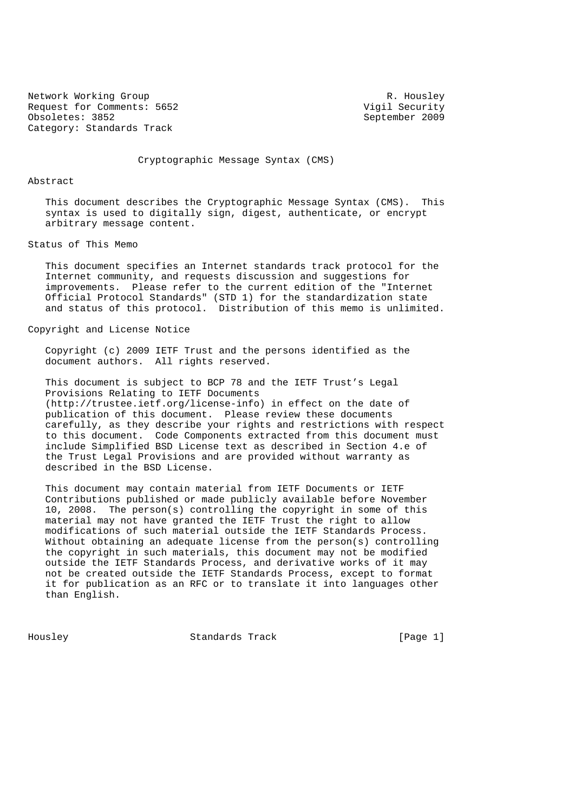Network Working Group R. Housley<br>Request for Comments: 5652 Migil Security Request for Comments: 5652<br>Obsoletes: 3852 Category: Standards Track

September 2009

Cryptographic Message Syntax (CMS)

Abstract

 This document describes the Cryptographic Message Syntax (CMS). This syntax is used to digitally sign, digest, authenticate, or encrypt arbitrary message content.

Status of This Memo

 This document specifies an Internet standards track protocol for the Internet community, and requests discussion and suggestions for improvements. Please refer to the current edition of the "Internet Official Protocol Standards" (STD 1) for the standardization state and status of this protocol. Distribution of this memo is unlimited.

#### Copyright and License Notice

 Copyright (c) 2009 IETF Trust and the persons identified as the document authors. All rights reserved.

 This document is subject to BCP 78 and the IETF Trust's Legal Provisions Relating to IETF Documents (http://trustee.ietf.org/license-info) in effect on the date of publication of this document. Please review these documents carefully, as they describe your rights and restrictions with respect to this document. Code Components extracted from this document must include Simplified BSD License text as described in Section 4.e of the Trust Legal Provisions and are provided without warranty as described in the BSD License.

 This document may contain material from IETF Documents or IETF Contributions published or made publicly available before November 10, 2008. The person(s) controlling the copyright in some of this material may not have granted the IETF Trust the right to allow modifications of such material outside the IETF Standards Process. Without obtaining an adequate license from the person(s) controlling the copyright in such materials, this document may not be modified outside the IETF Standards Process, and derivative works of it may not be created outside the IETF Standards Process, except to format it for publication as an RFC or to translate it into languages other than English.

Housley Standards Track [Page 1]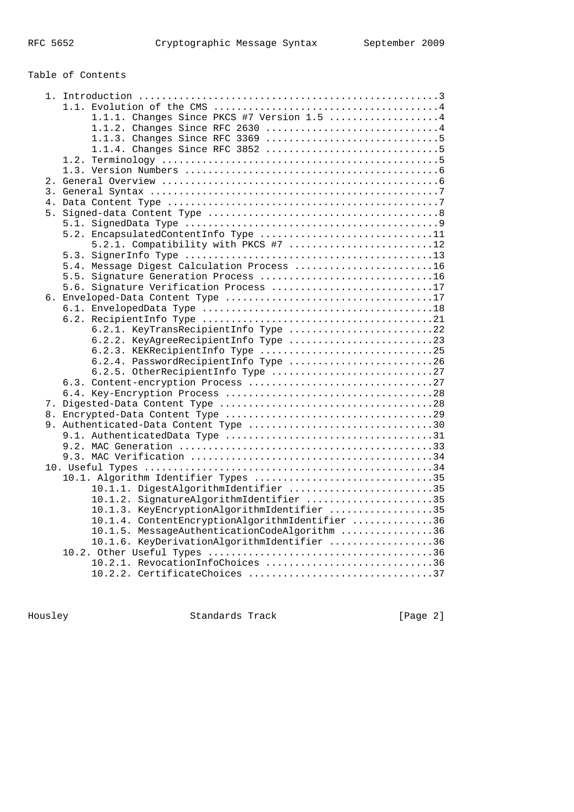| Table of Contents                               |  |
|-------------------------------------------------|--|
|                                                 |  |
|                                                 |  |
| 1.1.1. Changes Since PKCS #7 Version 1.5 4      |  |
| 1.1.2. Changes Since RFC 2630 4                 |  |
|                                                 |  |
|                                                 |  |
|                                                 |  |
|                                                 |  |
|                                                 |  |
|                                                 |  |
|                                                 |  |
|                                                 |  |
| 5.2. EncapsulatedContentInfo Type 11            |  |
| 5.2.1. Compatibility with PKCS #7 12            |  |
|                                                 |  |
| 5.4. Message Digest Calculation Process 16      |  |
| 5.5. Signature Generation Process 16            |  |
| 5.6. Signature Verification Process 17          |  |
|                                                 |  |
|                                                 |  |
|                                                 |  |
| 6.2.1. KeyTransRecipientInfo Type 22            |  |
| 6.2.2. KeyAgreeRecipientInfo Type 23            |  |
| 6.2.3. KEKRecipientInfo Type 25                 |  |
| 6.2.4. PasswordRecipientInfo Type 26            |  |
| 6.2.5. OtherRecipientInfo Type 27               |  |
|                                                 |  |
|                                                 |  |
|                                                 |  |
|                                                 |  |
| 9. Authenticated-Data Content Type 30           |  |
|                                                 |  |
|                                                 |  |
|                                                 |  |
| 10.1. Algorithm Identifier Types 35             |  |
| 10.1.1. DigestAlgorithmIdentifier 35            |  |
| 10.1.2. SignatureAlgorithmIdentifier 35         |  |
| 10.1.3. KeyEncryptionAlgorithmIdentifier 35     |  |
| 10.1.4. ContentEncryptionAlgorithmIdentifier 36 |  |
| 10.1.5. MessageAuthenticationCodeAlgorithm 36   |  |
| 10.1.6. KeyDerivationAlgorithmIdentifier 36     |  |
|                                                 |  |
| 10.2.1. RevocationInfoChoices 36                |  |
| 10.2.2. CertificateChoices 37                   |  |

Housley Standards Track [Page 2]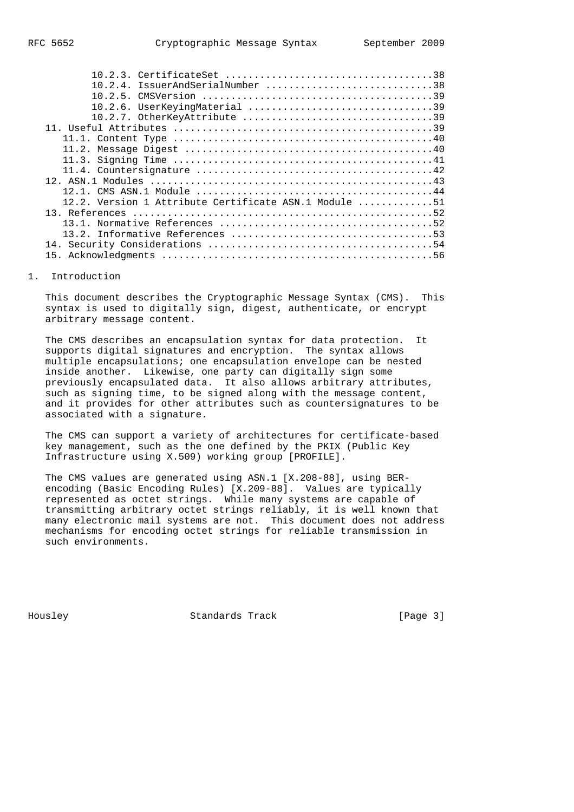| $10.2.4$ . IssuerAndSerialNumber 38                   |
|-------------------------------------------------------|
|                                                       |
| 10.2.6. UserKeyingMaterial 39                         |
| 10.2.7. OtherKeyAttribute 39                          |
|                                                       |
|                                                       |
|                                                       |
|                                                       |
|                                                       |
|                                                       |
|                                                       |
| 12.2. Version 1 Attribute Certificate ASN.1 Module 51 |
|                                                       |
|                                                       |
|                                                       |
|                                                       |
|                                                       |

## 1. Introduction

 This document describes the Cryptographic Message Syntax (CMS). This syntax is used to digitally sign, digest, authenticate, or encrypt arbitrary message content.

 The CMS describes an encapsulation syntax for data protection. It supports digital signatures and encryption. The syntax allows multiple encapsulations; one encapsulation envelope can be nested inside another. Likewise, one party can digitally sign some previously encapsulated data. It also allows arbitrary attributes, such as signing time, to be signed along with the message content, and it provides for other attributes such as countersignatures to be associated with a signature.

 The CMS can support a variety of architectures for certificate-based key management, such as the one defined by the PKIX (Public Key Infrastructure using X.509) working group [PROFILE].

 The CMS values are generated using ASN.1 [X.208-88], using BER encoding (Basic Encoding Rules) [X.209-88]. Values are typically represented as octet strings. While many systems are capable of transmitting arbitrary octet strings reliably, it is well known that many electronic mail systems are not. This document does not address mechanisms for encoding octet strings for reliable transmission in such environments.

Housley Standards Track [Page 3]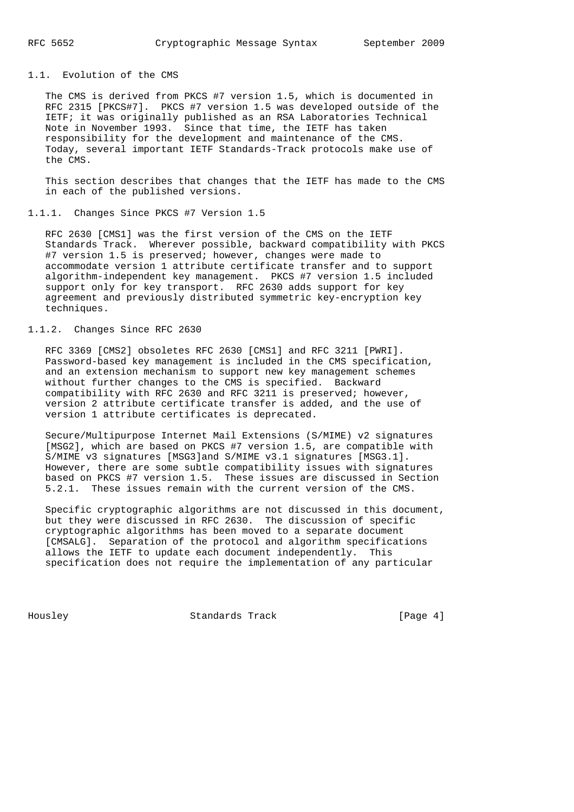## 1.1. Evolution of the CMS

 The CMS is derived from PKCS #7 version 1.5, which is documented in RFC 2315 [PKCS#7]. PKCS #7 version 1.5 was developed outside of the IETF; it was originally published as an RSA Laboratories Technical Note in November 1993. Since that time, the IETF has taken responsibility for the development and maintenance of the CMS. Today, several important IETF Standards-Track protocols make use of the CMS.

 This section describes that changes that the IETF has made to the CMS in each of the published versions.

## 1.1.1. Changes Since PKCS #7 Version 1.5

 RFC 2630 [CMS1] was the first version of the CMS on the IETF Standards Track. Wherever possible, backward compatibility with PKCS #7 version 1.5 is preserved; however, changes were made to accommodate version 1 attribute certificate transfer and to support algorithm-independent key management. PKCS #7 version 1.5 included support only for key transport. RFC 2630 adds support for key agreement and previously distributed symmetric key-encryption key techniques.

# 1.1.2. Changes Since RFC 2630

 RFC 3369 [CMS2] obsoletes RFC 2630 [CMS1] and RFC 3211 [PWRI]. Password-based key management is included in the CMS specification, and an extension mechanism to support new key management schemes without further changes to the CMS is specified. Backward compatibility with RFC 2630 and RFC 3211 is preserved; however, version 2 attribute certificate transfer is added, and the use of version 1 attribute certificates is deprecated.

 Secure/Multipurpose Internet Mail Extensions (S/MIME) v2 signatures [MSG2], which are based on PKCS #7 version 1.5, are compatible with S/MIME v3 signatures [MSG3]and S/MIME v3.1 signatures [MSG3.1]. However, there are some subtle compatibility issues with signatures based on PKCS #7 version 1.5. These issues are discussed in Section 5.2.1. These issues remain with the current version of the CMS.

 Specific cryptographic algorithms are not discussed in this document, but they were discussed in RFC 2630. The discussion of specific cryptographic algorithms has been moved to a separate document [CMSALG]. Separation of the protocol and algorithm specifications allows the IETF to update each document independently. This specification does not require the implementation of any particular

Housley Standards Track [Page 4]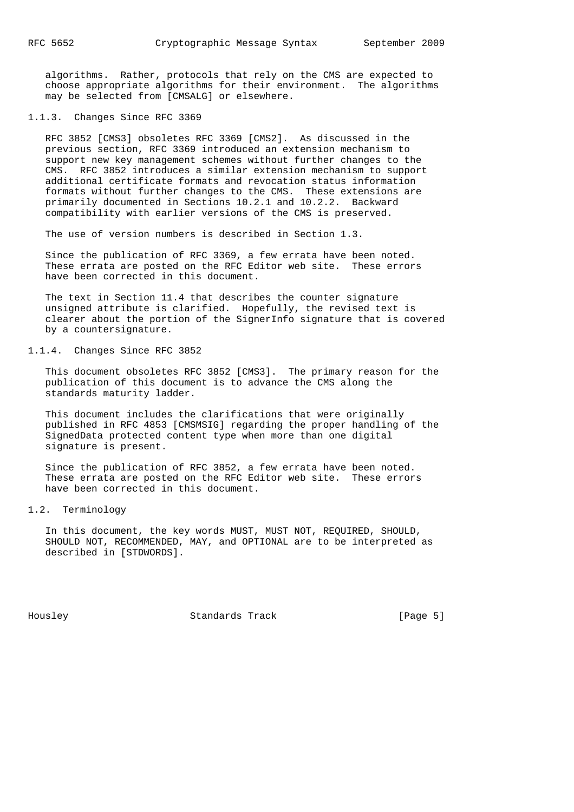algorithms. Rather, protocols that rely on the CMS are expected to choose appropriate algorithms for their environment. The algorithms may be selected from [CMSALG] or elsewhere.

#### 1.1.3. Changes Since RFC 3369

 RFC 3852 [CMS3] obsoletes RFC 3369 [CMS2]. As discussed in the previous section, RFC 3369 introduced an extension mechanism to support new key management schemes without further changes to the CMS. RFC 3852 introduces a similar extension mechanism to support additional certificate formats and revocation status information formats without further changes to the CMS. These extensions are primarily documented in Sections 10.2.1 and 10.2.2. Backward compatibility with earlier versions of the CMS is preserved.

The use of version numbers is described in Section 1.3.

 Since the publication of RFC 3369, a few errata have been noted. These errata are posted on the RFC Editor web site. These errors have been corrected in this document.

 The text in Section 11.4 that describes the counter signature unsigned attribute is clarified. Hopefully, the revised text is clearer about the portion of the SignerInfo signature that is covered by a countersignature.

## 1.1.4. Changes Since RFC 3852

 This document obsoletes RFC 3852 [CMS3]. The primary reason for the publication of this document is to advance the CMS along the standards maturity ladder.

 This document includes the clarifications that were originally published in RFC 4853 [CMSMSIG] regarding the proper handling of the SignedData protected content type when more than one digital signature is present.

 Since the publication of RFC 3852, a few errata have been noted. These errata are posted on the RFC Editor web site. These errors have been corrected in this document.

## 1.2. Terminology

 In this document, the key words MUST, MUST NOT, REQUIRED, SHOULD, SHOULD NOT, RECOMMENDED, MAY, and OPTIONAL are to be interpreted as described in [STDWORDS].

Housley Standards Track [Page 5]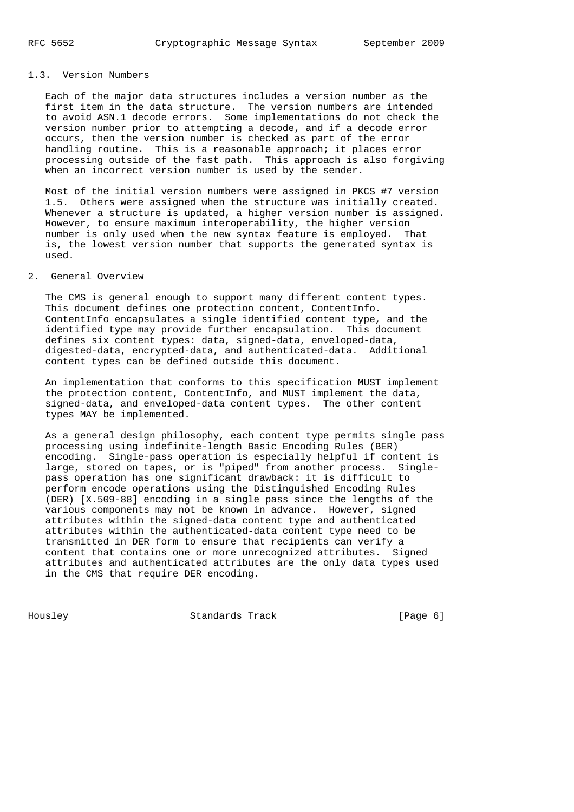## 1.3. Version Numbers

 Each of the major data structures includes a version number as the first item in the data structure. The version numbers are intended to avoid ASN.1 decode errors. Some implementations do not check the version number prior to attempting a decode, and if a decode error occurs, then the version number is checked as part of the error handling routine. This is a reasonable approach; it places error processing outside of the fast path. This approach is also forgiving when an incorrect version number is used by the sender.

 Most of the initial version numbers were assigned in PKCS #7 version 1.5. Others were assigned when the structure was initially created. Whenever a structure is updated, a higher version number is assigned. However, to ensure maximum interoperability, the higher version number is only used when the new syntax feature is employed. That is, the lowest version number that supports the generated syntax is used.

## 2. General Overview

 The CMS is general enough to support many different content types. This document defines one protection content, ContentInfo. ContentInfo encapsulates a single identified content type, and the identified type may provide further encapsulation. This document defines six content types: data, signed-data, enveloped-data, digested-data, encrypted-data, and authenticated-data. Additional content types can be defined outside this document.

 An implementation that conforms to this specification MUST implement the protection content, ContentInfo, and MUST implement the data, signed-data, and enveloped-data content types. The other content types MAY be implemented.

 As a general design philosophy, each content type permits single pass processing using indefinite-length Basic Encoding Rules (BER) encoding. Single-pass operation is especially helpful if content is large, stored on tapes, or is "piped" from another process. Single pass operation has one significant drawback: it is difficult to perform encode operations using the Distinguished Encoding Rules (DER) [X.509-88] encoding in a single pass since the lengths of the various components may not be known in advance. However, signed attributes within the signed-data content type and authenticated attributes within the authenticated-data content type need to be transmitted in DER form to ensure that recipients can verify a content that contains one or more unrecognized attributes. Signed attributes and authenticated attributes are the only data types used in the CMS that require DER encoding.

Housley Standards Track [Page 6]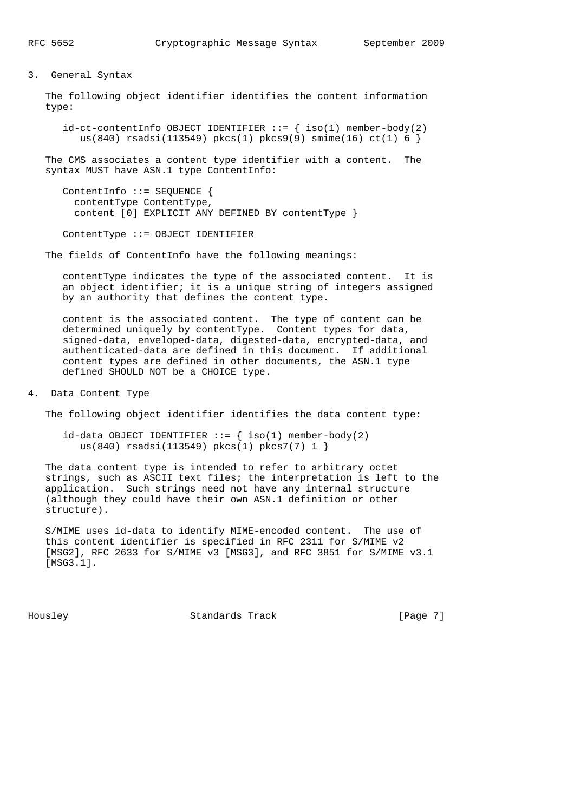#### 3. General Syntax

 The following object identifier identifies the content information type:

 $id-ct-contentInfo OBJECT IDENTIFIER ::= { iso(1) member-body(2) }$  $us(840)$  rsadsi(113549) pkcs(1) pkcs9(9) smime(16) ct(1) 6 }

 The CMS associates a content type identifier with a content. The syntax MUST have ASN.1 type ContentInfo:

```
 ContentInfo ::= SEQUENCE {
  contentType ContentType,
  content [0] EXPLICIT ANY DEFINED BY contentType }
```
ContentType ::= OBJECT IDENTIFIER

The fields of ContentInfo have the following meanings:

 contentType indicates the type of the associated content. It is an object identifier; it is a unique string of integers assigned by an authority that defines the content type.

 content is the associated content. The type of content can be determined uniquely by contentType. Content types for data, signed-data, enveloped-data, digested-data, encrypted-data, and authenticated-data are defined in this document. If additional content types are defined in other documents, the ASN.1 type defined SHOULD NOT be a CHOICE type.

4. Data Content Type

The following object identifier identifies the data content type:

 $id$ -data OBJECT IDENTIFIER ::= { iso(1) member-body(2) us(840) rsadsi(113549) pkcs(1) pkcs7(7) 1 }

 The data content type is intended to refer to arbitrary octet strings, such as ASCII text files; the interpretation is left to the application. Such strings need not have any internal structure (although they could have their own ASN.1 definition or other structure).

 S/MIME uses id-data to identify MIME-encoded content. The use of this content identifier is specified in RFC 2311 for S/MIME v2 [MSG2], RFC 2633 for S/MIME v3 [MSG3], and RFC 3851 for S/MIME v3.1 [MSG3.1].

Housley Standards Track [Page 7]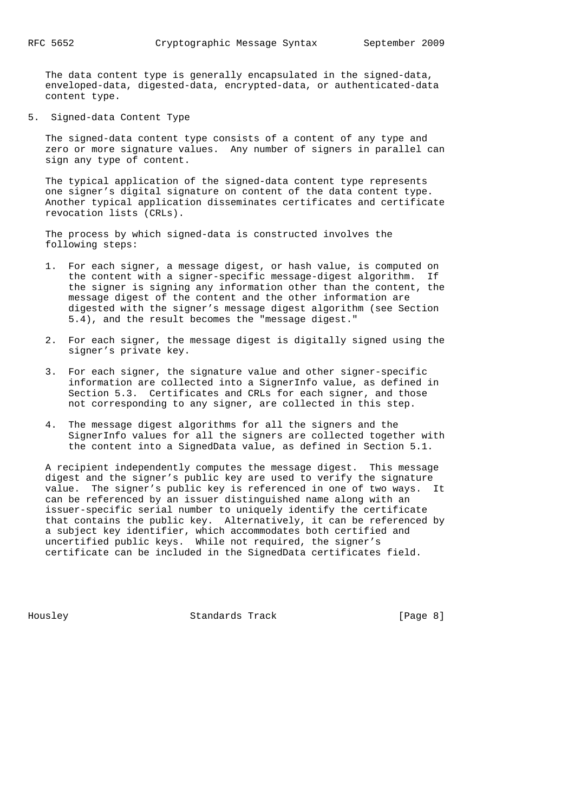The data content type is generally encapsulated in the signed-data, enveloped-data, digested-data, encrypted-data, or authenticated-data content type.

5. Signed-data Content Type

 The signed-data content type consists of a content of any type and zero or more signature values. Any number of signers in parallel can sign any type of content.

 The typical application of the signed-data content type represents one signer's digital signature on content of the data content type. Another typical application disseminates certificates and certificate revocation lists (CRLs).

 The process by which signed-data is constructed involves the following steps:

- 1. For each signer, a message digest, or hash value, is computed on the content with a signer-specific message-digest algorithm. If the signer is signing any information other than the content, the message digest of the content and the other information are digested with the signer's message digest algorithm (see Section 5.4), and the result becomes the "message digest."
- 2. For each signer, the message digest is digitally signed using the signer's private key.
- 3. For each signer, the signature value and other signer-specific information are collected into a SignerInfo value, as defined in Section 5.3. Certificates and CRLs for each signer, and those not corresponding to any signer, are collected in this step.
- 4. The message digest algorithms for all the signers and the SignerInfo values for all the signers are collected together with the content into a SignedData value, as defined in Section 5.1.

 A recipient independently computes the message digest. This message digest and the signer's public key are used to verify the signature value. The signer's public key is referenced in one of two ways. It can be referenced by an issuer distinguished name along with an issuer-specific serial number to uniquely identify the certificate that contains the public key. Alternatively, it can be referenced by a subject key identifier, which accommodates both certified and uncertified public keys. While not required, the signer's certificate can be included in the SignedData certificates field.

Housley Standards Track [Page 8]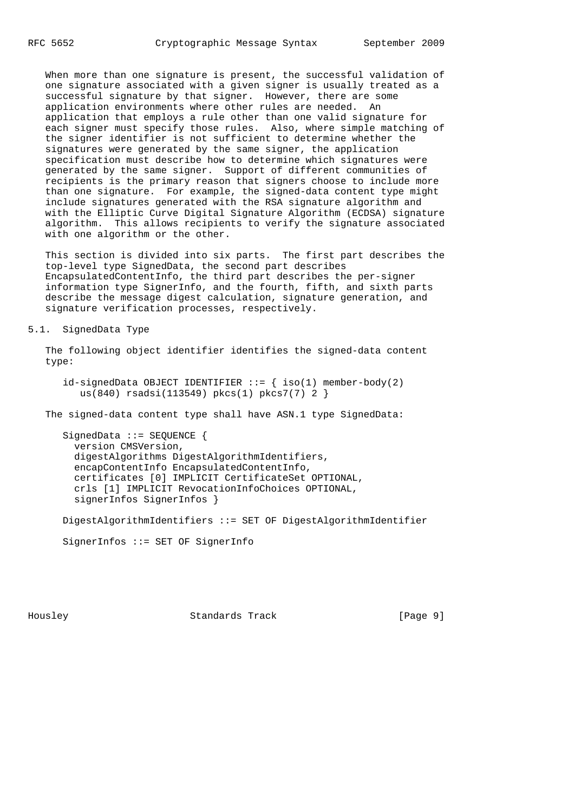When more than one signature is present, the successful validation of one signature associated with a given signer is usually treated as a successful signature by that signer. However, there are some application environments where other rules are needed. An application that employs a rule other than one valid signature for each signer must specify those rules. Also, where simple matching of the signer identifier is not sufficient to determine whether the signatures were generated by the same signer, the application specification must describe how to determine which signatures were generated by the same signer. Support of different communities of recipients is the primary reason that signers choose to include more than one signature. For example, the signed-data content type might include signatures generated with the RSA signature algorithm and with the Elliptic Curve Digital Signature Algorithm (ECDSA) signature algorithm. This allows recipients to verify the signature associated with one algorithm or the other.

 This section is divided into six parts. The first part describes the top-level type SignedData, the second part describes EncapsulatedContentInfo, the third part describes the per-signer information type SignerInfo, and the fourth, fifth, and sixth parts describe the message digest calculation, signature generation, and signature verification processes, respectively.

### 5.1. SignedData Type

 The following object identifier identifies the signed-data content type:

 $id\text{-signedData OBJECT IDENTIFYER}$  :=  $\{ iso(1) member-body(2)$ us(840) rsadsi(113549) pkcs(1) pkcs7(7) 2 }

The signed-data content type shall have ASN.1 type SignedData:

SignedData ::= SEOUENCE { version CMSVersion, digestAlgorithms DigestAlgorithmIdentifiers, encapContentInfo EncapsulatedContentInfo, certificates [0] IMPLICIT CertificateSet OPTIONAL, crls [1] IMPLICIT RevocationInfoChoices OPTIONAL, signerInfos SignerInfos }

DigestAlgorithmIdentifiers ::= SET OF DigestAlgorithmIdentifier

SignerInfos ::= SET OF SignerInfo

Housley Standards Track [Page 9]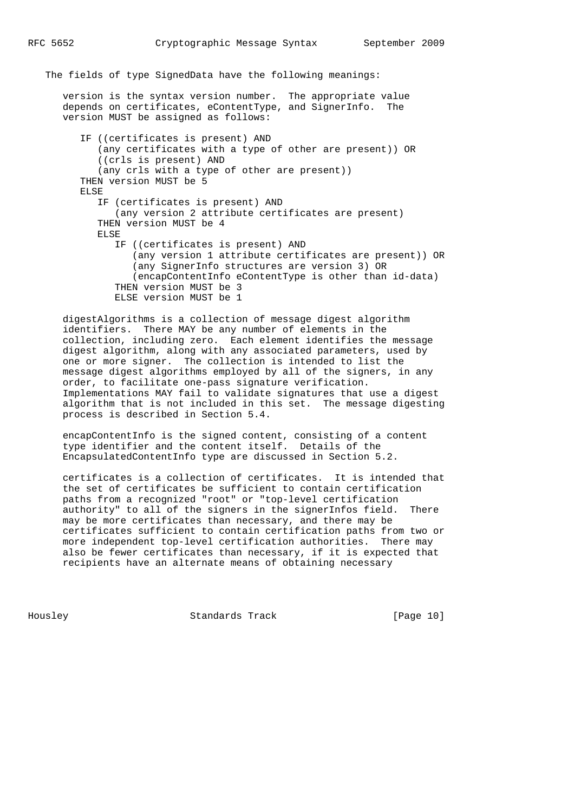The fields of type SignedData have the following meanings:

 version is the syntax version number. The appropriate value depends on certificates, eContentType, and SignerInfo. The version MUST be assigned as follows:

 IF ((certificates is present) AND (any certificates with a type of other are present)) OR ((crls is present) AND (any crls with a type of other are present)) THEN version MUST be 5 ELSE IF (certificates is present) AND (any version 2 attribute certificates are present) THEN version MUST be 4 ELSE IF ((certificates is present) AND (any version 1 attribute certificates are present)) OR (any SignerInfo structures are version 3) OR (encapContentInfo eContentType is other than id-data) THEN version MUST be 3 ELSE version MUST be 1

 digestAlgorithms is a collection of message digest algorithm identifiers. There MAY be any number of elements in the collection, including zero. Each element identifies the message digest algorithm, along with any associated parameters, used by one or more signer. The collection is intended to list the message digest algorithms employed by all of the signers, in any order, to facilitate one-pass signature verification. Implementations MAY fail to validate signatures that use a digest algorithm that is not included in this set. The message digesting process is described in Section 5.4.

 encapContentInfo is the signed content, consisting of a content type identifier and the content itself. Details of the EncapsulatedContentInfo type are discussed in Section 5.2.

 certificates is a collection of certificates. It is intended that the set of certificates be sufficient to contain certification paths from a recognized "root" or "top-level certification authority" to all of the signers in the signerInfos field. There may be more certificates than necessary, and there may be certificates sufficient to contain certification paths from two or more independent top-level certification authorities. There may also be fewer certificates than necessary, if it is expected that recipients have an alternate means of obtaining necessary

Housley Standards Track [Page 10]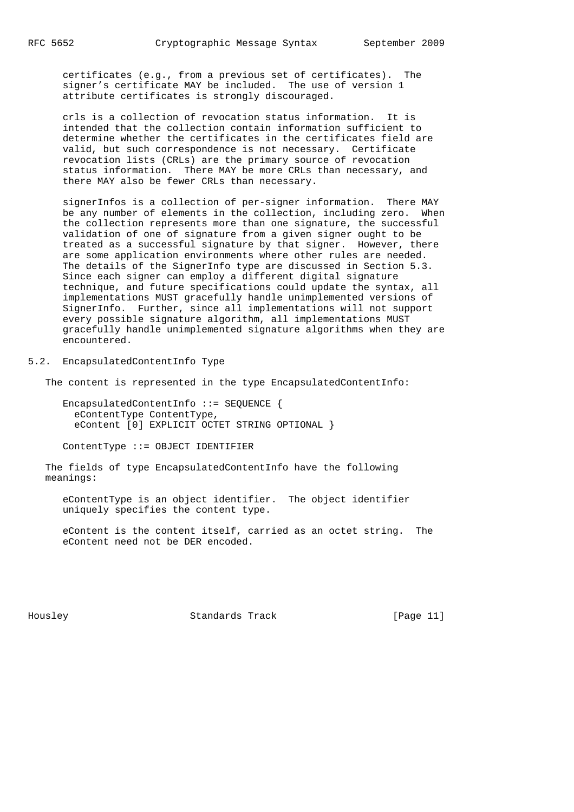certificates (e.g., from a previous set of certificates). The signer's certificate MAY be included. The use of version 1 attribute certificates is strongly discouraged.

 crls is a collection of revocation status information. It is intended that the collection contain information sufficient to determine whether the certificates in the certificates field are valid, but such correspondence is not necessary. Certificate revocation lists (CRLs) are the primary source of revocation status information. There MAY be more CRLs than necessary, and there MAY also be fewer CRLs than necessary.

 signerInfos is a collection of per-signer information. There MAY be any number of elements in the collection, including zero. When the collection represents more than one signature, the successful validation of one of signature from a given signer ought to be treated as a successful signature by that signer. However, there are some application environments where other rules are needed. The details of the SignerInfo type are discussed in Section 5.3. Since each signer can employ a different digital signature technique, and future specifications could update the syntax, all implementations MUST gracefully handle unimplemented versions of SignerInfo. Further, since all implementations will not support every possible signature algorithm, all implementations MUST gracefully handle unimplemented signature algorithms when they are encountered.

5.2. EncapsulatedContentInfo Type

The content is represented in the type EncapsulatedContentInfo:

 EncapsulatedContentInfo ::= SEQUENCE { eContentType ContentType, eContent [0] EXPLICIT OCTET STRING OPTIONAL }

ContentType ::= OBJECT IDENTIFIER

 The fields of type EncapsulatedContentInfo have the following meanings:

 eContentType is an object identifier. The object identifier uniquely specifies the content type.

 eContent is the content itself, carried as an octet string. The eContent need not be DER encoded.

Housley Standards Track [Page 11]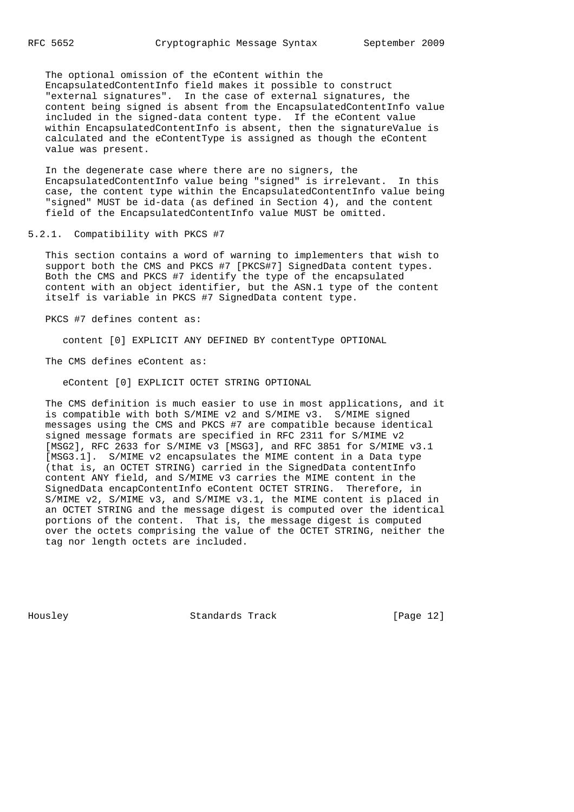The optional omission of the eContent within the EncapsulatedContentInfo field makes it possible to construct "external signatures". In the case of external signatures, the content being signed is absent from the EncapsulatedContentInfo value included in the signed-data content type. If the eContent value within EncapsulatedContentInfo is absent, then the signatureValue is calculated and the eContentType is assigned as though the eContent value was present.

 In the degenerate case where there are no signers, the EncapsulatedContentInfo value being "signed" is irrelevant. In this case, the content type within the EncapsulatedContentInfo value being "signed" MUST be id-data (as defined in Section 4), and the content field of the EncapsulatedContentInfo value MUST be omitted.

# 5.2.1. Compatibility with PKCS #7

 This section contains a word of warning to implementers that wish to support both the CMS and PKCS #7 [PKCS#7] SignedData content types. Both the CMS and PKCS #7 identify the type of the encapsulated content with an object identifier, but the ASN.1 type of the content itself is variable in PKCS #7 SignedData content type.

PKCS #7 defines content as:

content [0] EXPLICIT ANY DEFINED BY contentType OPTIONAL

The CMS defines eContent as:

eContent [0] EXPLICIT OCTET STRING OPTIONAL

 The CMS definition is much easier to use in most applications, and it is compatible with both S/MIME v2 and S/MIME v3. S/MIME signed messages using the CMS and PKCS #7 are compatible because identical signed message formats are specified in RFC 2311 for S/MIME v2 [MSG2], RFC 2633 for S/MIME v3 [MSG3], and RFC 3851 for S/MIME v3.1 [MSG3.1]. S/MIME v2 encapsulates the MIME content in a Data type (that is, an OCTET STRING) carried in the SignedData contentInfo content ANY field, and S/MIME v3 carries the MIME content in the SignedData encapContentInfo eContent OCTET STRING. Therefore, in S/MIME v2, S/MIME v3, and S/MIME v3.1, the MIME content is placed in an OCTET STRING and the message digest is computed over the identical portions of the content. That is, the message digest is computed over the octets comprising the value of the OCTET STRING, neither the tag nor length octets are included.

Housley Standards Track [Page 12]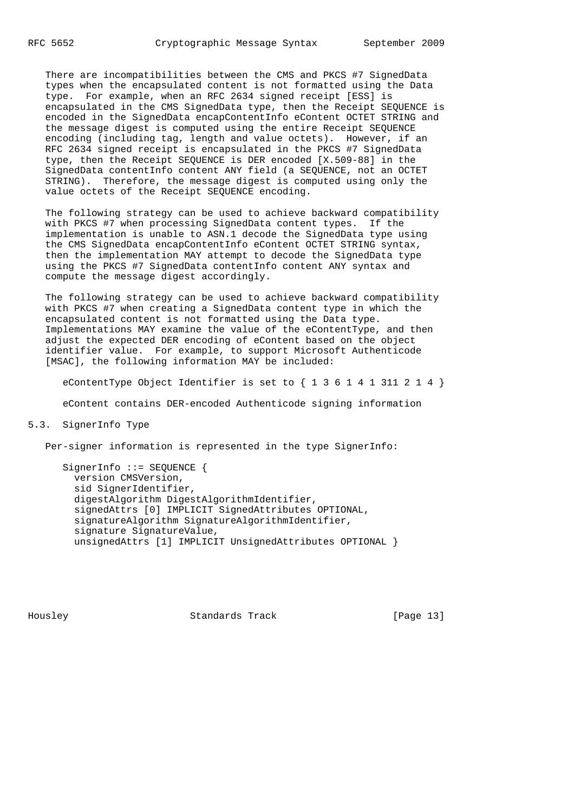There are incompatibilities between the CMS and PKCS #7 SignedData types when the encapsulated content is not formatted using the Data type. For example, when an RFC 2634 signed receipt [ESS] is encapsulated in the CMS SignedData type, then the Receipt SEQUENCE is encoded in the SignedData encapContentInfo eContent OCTET STRING and the message digest is computed using the entire Receipt SEQUENCE encoding (including tag, length and value octets). However, if an RFC 2634 signed receipt is encapsulated in the PKCS #7 SignedData type, then the Receipt SEQUENCE is DER encoded [X.509-88] in the SignedData contentInfo content ANY field (a SEQUENCE, not an OCTET STRING). Therefore, the message digest is computed using only the value octets of the Receipt SEQUENCE encoding.

 The following strategy can be used to achieve backward compatibility with PKCS #7 when processing SignedData content types. If the implementation is unable to ASN.1 decode the SignedData type using the CMS SignedData encapContentInfo eContent OCTET STRING syntax, then the implementation MAY attempt to decode the SignedData type using the PKCS #7 SignedData contentInfo content ANY syntax and compute the message digest accordingly.

 The following strategy can be used to achieve backward compatibility with PKCS #7 when creating a SignedData content type in which the encapsulated content is not formatted using the Data type. Implementations MAY examine the value of the eContentType, and then adjust the expected DER encoding of eContent based on the object identifier value. For example, to support Microsoft Authenticode [MSAC], the following information MAY be included:

eContentType Object Identifier is set to  $\{ 1 \ 3 \ 6 \ 1 \ 4 \ 1 \ 311 \ 2 \ 1 \ 4 \}$ 

eContent contains DER-encoded Authenticode signing information

5.3. SignerInfo Type

Per-signer information is represented in the type SignerInfo:

SignerInfo ::= SEQUENCE { version CMSVersion, sid SignerIdentifier, digestAlgorithm DigestAlgorithmIdentifier, signedAttrs [0] IMPLICIT SignedAttributes OPTIONAL, signatureAlgorithm SignatureAlgorithmIdentifier, signature SignatureValue, unsignedAttrs [1] IMPLICIT UnsignedAttributes OPTIONAL }

Housley Standards Track [Page 13]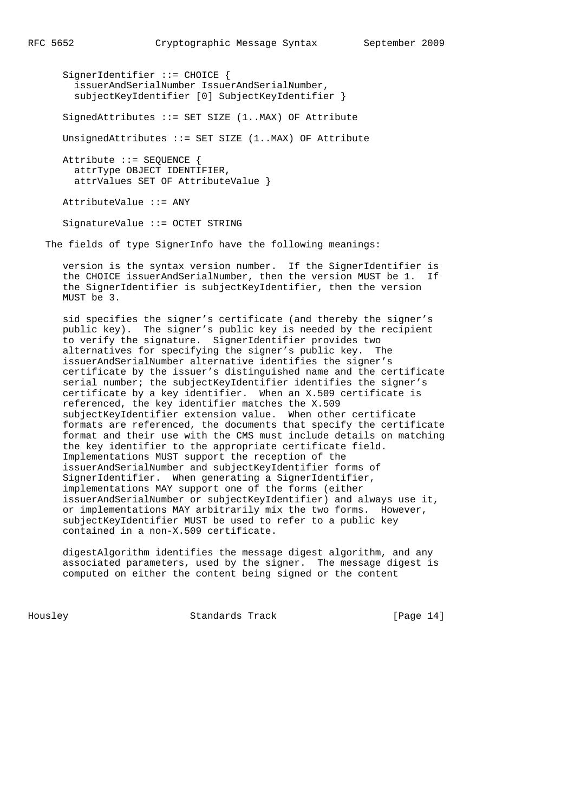SignerIdentifier ::= CHOICE { issuerAndSerialNumber IssuerAndSerialNumber, subjectKeyIdentifier [0] SubjectKeyIdentifier } SignedAttributes ::= SET SIZE (1..MAX) OF Attribute UnsignedAttributes ::= SET SIZE (1..MAX) OF Attribute Attribute ::= SEQUENCE { attrType OBJECT IDENTIFIER,

attrValues SET OF AttributeValue }

AttributeValue ::= ANY

SignatureValue ::= OCTET STRING

The fields of type SignerInfo have the following meanings:

 version is the syntax version number. If the SignerIdentifier is the CHOICE issuerAndSerialNumber, then the version MUST be 1. If the SignerIdentifier is subjectKeyIdentifier, then the version MUST be 3.

 sid specifies the signer's certificate (and thereby the signer's public key). The signer's public key is needed by the recipient to verify the signature. SignerIdentifier provides two alternatives for specifying the signer's public key. The issuerAndSerialNumber alternative identifies the signer's certificate by the issuer's distinguished name and the certificate serial number; the subjectKeyIdentifier identifies the signer's certificate by a key identifier. When an X.509 certificate is referenced, the key identifier matches the X.509 subjectKeyIdentifier extension value. When other certificate formats are referenced, the documents that specify the certificate format and their use with the CMS must include details on matching the key identifier to the appropriate certificate field. Implementations MUST support the reception of the issuerAndSerialNumber and subjectKeyIdentifier forms of SignerIdentifier. When generating a SignerIdentifier, implementations MAY support one of the forms (either issuerAndSerialNumber or subjectKeyIdentifier) and always use it, or implementations MAY arbitrarily mix the two forms. However, subjectKeyIdentifier MUST be used to refer to a public key contained in a non-X.509 certificate.

 digestAlgorithm identifies the message digest algorithm, and any associated parameters, used by the signer. The message digest is computed on either the content being signed or the content

Housley Standards Track [Page 14]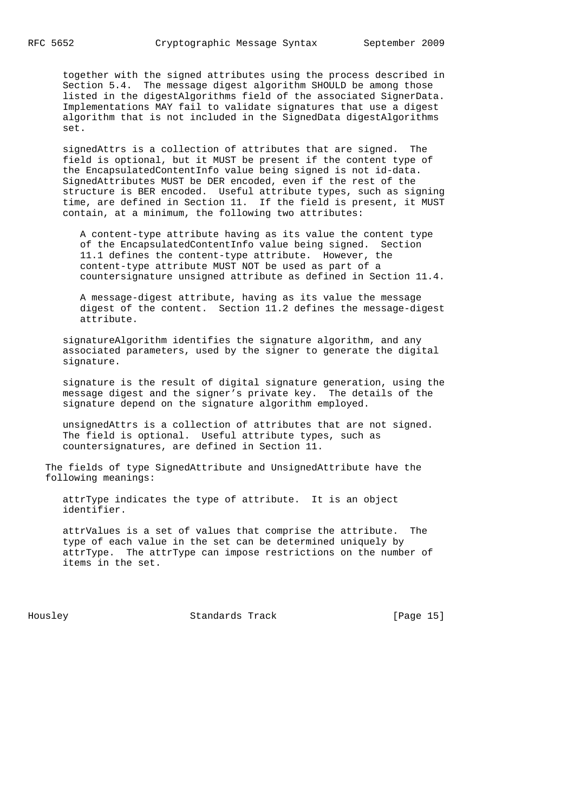together with the signed attributes using the process described in Section 5.4. The message digest algorithm SHOULD be among those listed in the digestAlgorithms field of the associated SignerData. Implementations MAY fail to validate signatures that use a digest algorithm that is not included in the SignedData digestAlgorithms set.

 signedAttrs is a collection of attributes that are signed. The field is optional, but it MUST be present if the content type of the EncapsulatedContentInfo value being signed is not id-data. SignedAttributes MUST be DER encoded, even if the rest of the structure is BER encoded. Useful attribute types, such as signing time, are defined in Section 11. If the field is present, it MUST contain, at a minimum, the following two attributes:

 A content-type attribute having as its value the content type of the EncapsulatedContentInfo value being signed. Section 11.1 defines the content-type attribute. However, the content-type attribute MUST NOT be used as part of a countersignature unsigned attribute as defined in Section 11.4.

 A message-digest attribute, having as its value the message digest of the content. Section 11.2 defines the message-digest attribute.

 signatureAlgorithm identifies the signature algorithm, and any associated parameters, used by the signer to generate the digital signature.

 signature is the result of digital signature generation, using the message digest and the signer's private key. The details of the signature depend on the signature algorithm employed.

 unsignedAttrs is a collection of attributes that are not signed. The field is optional. Useful attribute types, such as countersignatures, are defined in Section 11.

 The fields of type SignedAttribute and UnsignedAttribute have the following meanings:

 attrType indicates the type of attribute. It is an object identifier.

 attrValues is a set of values that comprise the attribute. The type of each value in the set can be determined uniquely by attrType. The attrType can impose restrictions on the number of items in the set.

Housley Standards Track [Page 15]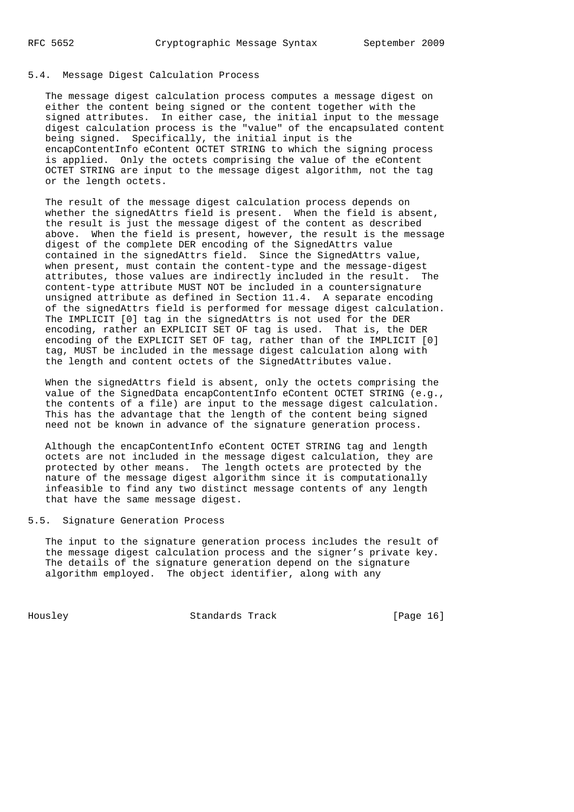## 5.4. Message Digest Calculation Process

 The message digest calculation process computes a message digest on either the content being signed or the content together with the signed attributes. In either case, the initial input to the message digest calculation process is the "value" of the encapsulated content being signed. Specifically, the initial input is the encapContentInfo eContent OCTET STRING to which the signing process is applied. Only the octets comprising the value of the eContent OCTET STRING are input to the message digest algorithm, not the tag or the length octets.

 The result of the message digest calculation process depends on whether the signedAttrs field is present. When the field is absent, the result is just the message digest of the content as described above. When the field is present, however, the result is the message digest of the complete DER encoding of the SignedAttrs value contained in the signedAttrs field. Since the SignedAttrs value, when present, must contain the content-type and the message-digest attributes, those values are indirectly included in the result. The content-type attribute MUST NOT be included in a countersignature unsigned attribute as defined in Section 11.4. A separate encoding of the signedAttrs field is performed for message digest calculation. The IMPLICIT [0] tag in the signedAttrs is not used for the DER encoding, rather an EXPLICIT SET OF tag is used. That is, the DER encoding of the EXPLICIT SET OF tag, rather than of the IMPLICIT [0] tag, MUST be included in the message digest calculation along with the length and content octets of the SignedAttributes value.

 When the signedAttrs field is absent, only the octets comprising the value of the SignedData encapContentInfo eContent OCTET STRING (e.g., the contents of a file) are input to the message digest calculation. This has the advantage that the length of the content being signed need not be known in advance of the signature generation process.

 Although the encapContentInfo eContent OCTET STRING tag and length octets are not included in the message digest calculation, they are protected by other means. The length octets are protected by the nature of the message digest algorithm since it is computationally infeasible to find any two distinct message contents of any length that have the same message digest.

5.5. Signature Generation Process

 The input to the signature generation process includes the result of the message digest calculation process and the signer's private key. The details of the signature generation depend on the signature algorithm employed. The object identifier, along with any

Housley Standards Track [Page 16]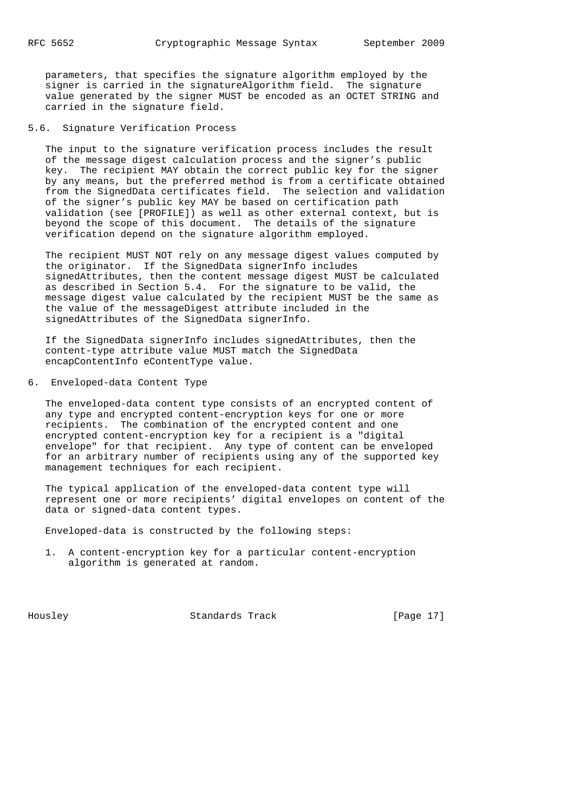parameters, that specifies the signature algorithm employed by the signer is carried in the signatureAlgorithm field. The signature value generated by the signer MUST be encoded as an OCTET STRING and carried in the signature field.

5.6. Signature Verification Process

 The input to the signature verification process includes the result of the message digest calculation process and the signer's public key. The recipient MAY obtain the correct public key for the signer by any means, but the preferred method is from a certificate obtained from the SignedData certificates field. The selection and validation of the signer's public key MAY be based on certification path validation (see [PROFILE]) as well as other external context, but is beyond the scope of this document. The details of the signature verification depend on the signature algorithm employed.

 The recipient MUST NOT rely on any message digest values computed by the originator. If the SignedData signerInfo includes signedAttributes, then the content message digest MUST be calculated as described in Section 5.4. For the signature to be valid, the message digest value calculated by the recipient MUST be the same as the value of the messageDigest attribute included in the signedAttributes of the SignedData signerInfo.

 If the SignedData signerInfo includes signedAttributes, then the content-type attribute value MUST match the SignedData encapContentInfo eContentType value.

6. Enveloped-data Content Type

 The enveloped-data content type consists of an encrypted content of any type and encrypted content-encryption keys for one or more recipients. The combination of the encrypted content and one encrypted content-encryption key for a recipient is a "digital envelope" for that recipient. Any type of content can be enveloped for an arbitrary number of recipients using any of the supported key management techniques for each recipient.

 The typical application of the enveloped-data content type will represent one or more recipients' digital envelopes on content of the data or signed-data content types.

Enveloped-data is constructed by the following steps:

 1. A content-encryption key for a particular content-encryption algorithm is generated at random.

Housley Standards Track [Page 17]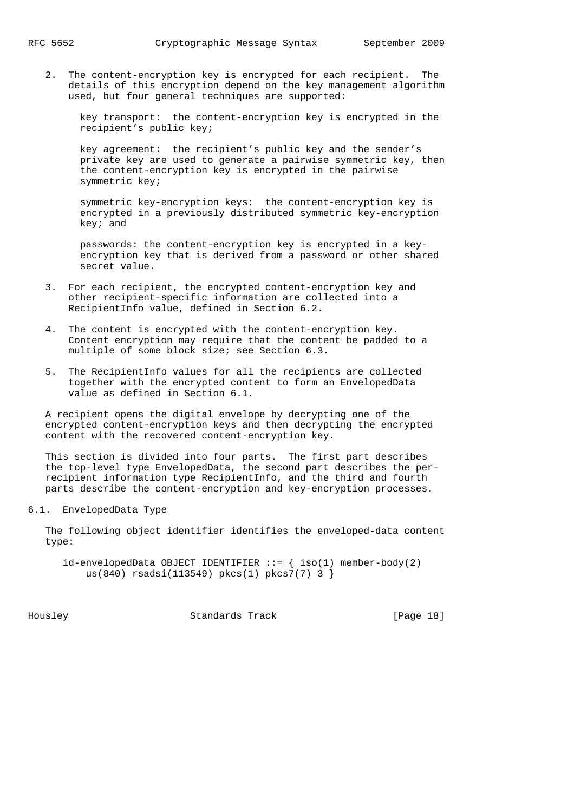2. The content-encryption key is encrypted for each recipient. The details of this encryption depend on the key management algorithm used, but four general techniques are supported:

 key transport: the content-encryption key is encrypted in the recipient's public key;

 key agreement: the recipient's public key and the sender's private key are used to generate a pairwise symmetric key, then the content-encryption key is encrypted in the pairwise symmetric key;

 symmetric key-encryption keys: the content-encryption key is encrypted in a previously distributed symmetric key-encryption key; and

 passwords: the content-encryption key is encrypted in a key encryption key that is derived from a password or other shared secret value.

- 3. For each recipient, the encrypted content-encryption key and other recipient-specific information are collected into a RecipientInfo value, defined in Section 6.2.
- 4. The content is encrypted with the content-encryption key. Content encryption may require that the content be padded to a multiple of some block size; see Section 6.3.
- 5. The RecipientInfo values for all the recipients are collected together with the encrypted content to form an EnvelopedData value as defined in Section 6.1.

 A recipient opens the digital envelope by decrypting one of the encrypted content-encryption keys and then decrypting the encrypted content with the recovered content-encryption key.

 This section is divided into four parts. The first part describes the top-level type EnvelopedData, the second part describes the per recipient information type RecipientInfo, and the third and fourth parts describe the content-encryption and key-encryption processes.

6.1. EnvelopedData Type

 The following object identifier identifies the enveloped-data content type:

 $id$ -envelopedData OBJECT IDENTIFIER ::= { iso(1) member-body(2) us(840) rsadsi(113549) pkcs(1) pkcs7(7) 3 }

Housley Standards Track [Page 18]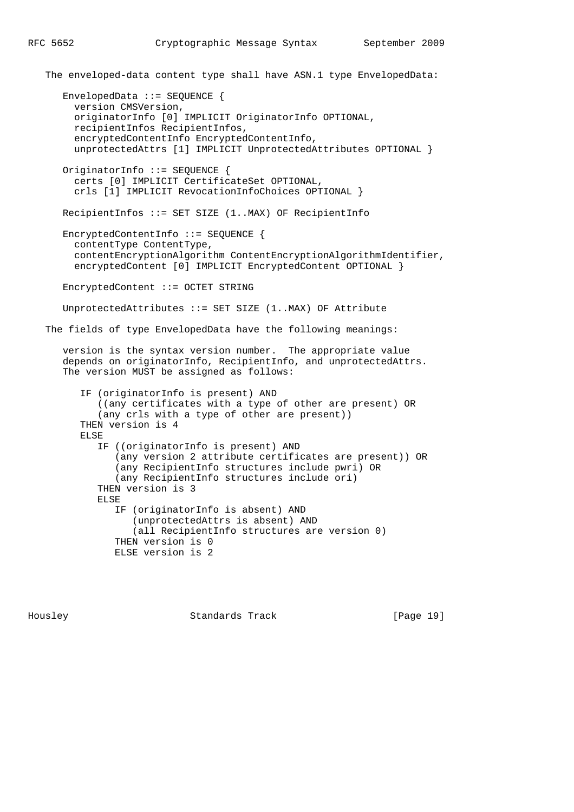The enveloped-data content type shall have ASN.1 type EnvelopedData:

 EnvelopedData ::= SEQUENCE { version CMSVersion, originatorInfo [0] IMPLICIT OriginatorInfo OPTIONAL, recipientInfos RecipientInfos, encryptedContentInfo EncryptedContentInfo, unprotectedAttrs [1] IMPLICIT UnprotectedAttributes OPTIONAL } OriginatorInfo ::= SEQUENCE { certs [0] IMPLICIT CertificateSet OPTIONAL, crls [1] IMPLICIT RevocationInfoChoices OPTIONAL } RecipientInfos ::= SET SIZE (1..MAX) OF RecipientInfo EncryptedContentInfo ::= SEQUENCE { contentType ContentType, contentEncryptionAlgorithm ContentEncryptionAlgorithmIdentifier, encryptedContent [0] IMPLICIT EncryptedContent OPTIONAL } EncryptedContent ::= OCTET STRING UnprotectedAttributes ::= SET SIZE (1..MAX) OF Attribute The fields of type EnvelopedData have the following meanings: version is the syntax version number. The appropriate value depends on originatorInfo, RecipientInfo, and unprotectedAttrs. The version MUST be assigned as follows: IF (originatorInfo is present) AND ((any certificates with a type of other are present) OR (any crls with a type of other are present)) THEN version is 4 ELSE IF ((originatorInfo is present) AND (any version 2 attribute certificates are present)) OR (any RecipientInfo structures include pwri) OR (any RecipientInfo structures include ori) THEN version is 3 ELSE IF (originatorInfo is absent) AND (unprotectedAttrs is absent) AND (all RecipientInfo structures are version 0) THEN version is 0 ELSE version is 2

Housley Standards Track [Page 19]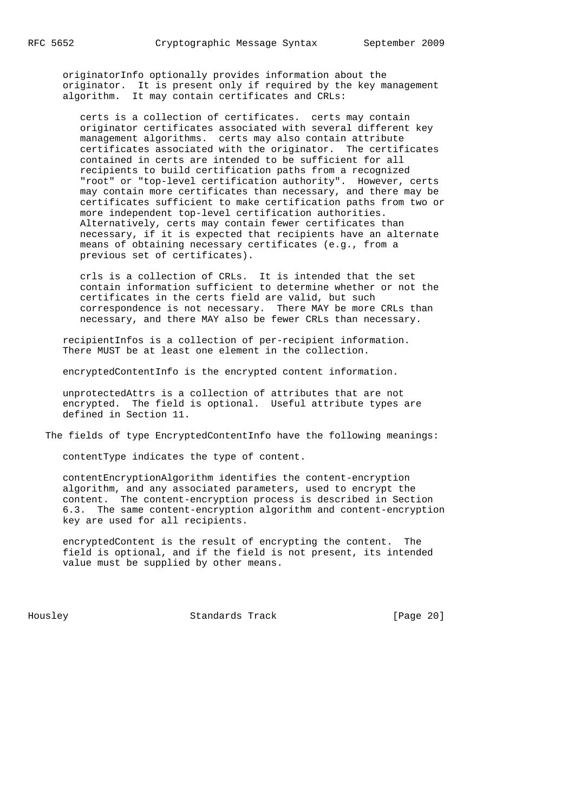originatorInfo optionally provides information about the originator. It is present only if required by the key management algorithm. It may contain certificates and CRLs:

 certs is a collection of certificates. certs may contain originator certificates associated with several different key management algorithms. certs may also contain attribute certificates associated with the originator. The certificates contained in certs are intended to be sufficient for all recipients to build certification paths from a recognized "root" or "top-level certification authority". However, certs may contain more certificates than necessary, and there may be certificates sufficient to make certification paths from two or more independent top-level certification authorities. Alternatively, certs may contain fewer certificates than necessary, if it is expected that recipients have an alternate means of obtaining necessary certificates (e.g., from a previous set of certificates).

 crls is a collection of CRLs. It is intended that the set contain information sufficient to determine whether or not the certificates in the certs field are valid, but such correspondence is not necessary. There MAY be more CRLs than necessary, and there MAY also be fewer CRLs than necessary.

 recipientInfos is a collection of per-recipient information. There MUST be at least one element in the collection.

encryptedContentInfo is the encrypted content information.

 unprotectedAttrs is a collection of attributes that are not encrypted. The field is optional. Useful attribute types are defined in Section 11.

The fields of type EncryptedContentInfo have the following meanings:

contentType indicates the type of content.

 contentEncryptionAlgorithm identifies the content-encryption algorithm, and any associated parameters, used to encrypt the content. The content-encryption process is described in Section 6.3. The same content-encryption algorithm and content-encryption key are used for all recipients.

 encryptedContent is the result of encrypting the content. The field is optional, and if the field is not present, its intended value must be supplied by other means.

Housley Standards Track [Page 20]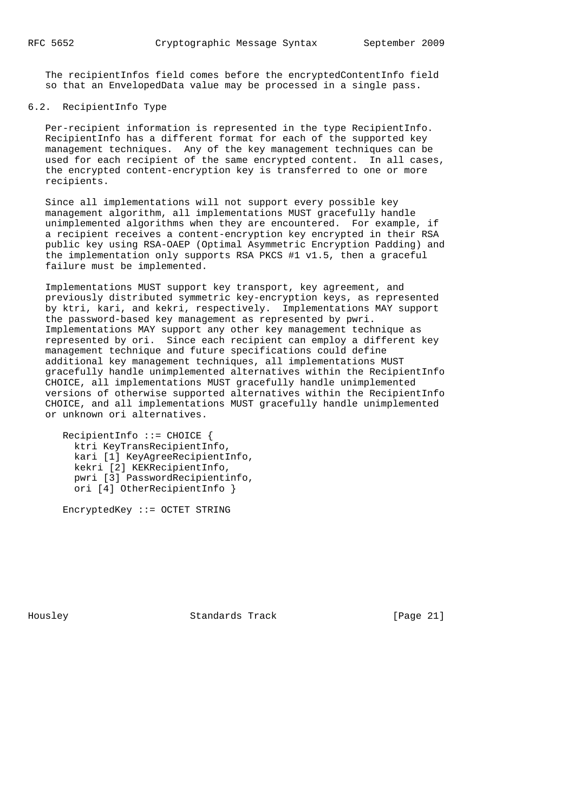The recipientInfos field comes before the encryptedContentInfo field so that an EnvelopedData value may be processed in a single pass.

# 6.2. RecipientInfo Type

 Per-recipient information is represented in the type RecipientInfo. RecipientInfo has a different format for each of the supported key management techniques. Any of the key management techniques can be used for each recipient of the same encrypted content. In all cases, the encrypted content-encryption key is transferred to one or more recipients.

 Since all implementations will not support every possible key management algorithm, all implementations MUST gracefully handle unimplemented algorithms when they are encountered. For example, if a recipient receives a content-encryption key encrypted in their RSA public key using RSA-OAEP (Optimal Asymmetric Encryption Padding) and the implementation only supports RSA PKCS #1 v1.5, then a graceful failure must be implemented.

 Implementations MUST support key transport, key agreement, and previously distributed symmetric key-encryption keys, as represented by ktri, kari, and kekri, respectively. Implementations MAY support the password-based key management as represented by pwri. Implementations MAY support any other key management technique as represented by ori. Since each recipient can employ a different key management technique and future specifications could define additional key management techniques, all implementations MUST gracefully handle unimplemented alternatives within the RecipientInfo CHOICE, all implementations MUST gracefully handle unimplemented versions of otherwise supported alternatives within the RecipientInfo CHOICE, and all implementations MUST gracefully handle unimplemented or unknown ori alternatives.

 RecipientInfo ::= CHOICE { ktri KeyTransRecipientInfo, kari [1] KeyAgreeRecipientInfo, kekri [2] KEKRecipientInfo, pwri [3] PasswordRecipientinfo, ori [4] OtherRecipientInfo }

EncryptedKey ::= OCTET STRING

Housley Standards Track [Page 21]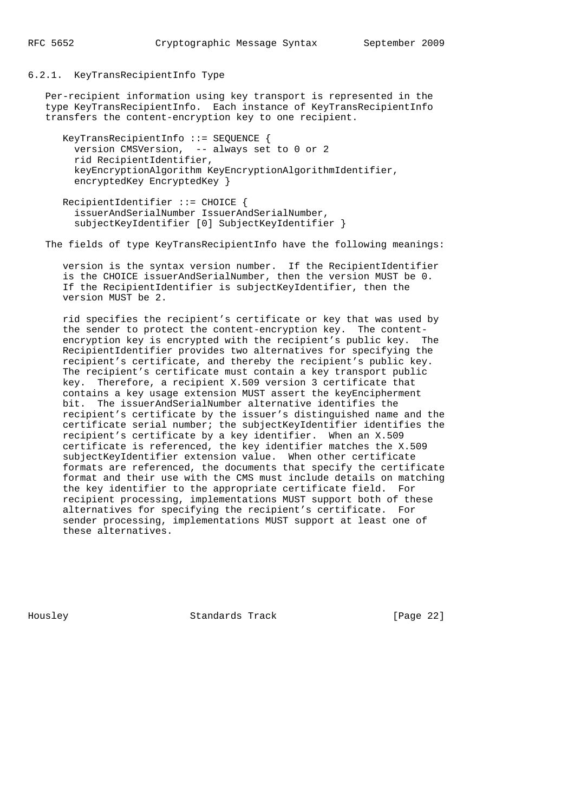#### 6.2.1. KeyTransRecipientInfo Type

 Per-recipient information using key transport is represented in the type KeyTransRecipientInfo. Each instance of KeyTransRecipientInfo transfers the content-encryption key to one recipient.

```
 KeyTransRecipientInfo ::= SEQUENCE {
  version CMSVersion, -- always set to 0 or 2
   rid RecipientIdentifier,
  keyEncryptionAlgorithm KeyEncryptionAlgorithmIdentifier,
   encryptedKey EncryptedKey }
```
 RecipientIdentifier ::= CHOICE { issuerAndSerialNumber IssuerAndSerialNumber, subjectKeyIdentifier [0] SubjectKeyIdentifier }

The fields of type KeyTransRecipientInfo have the following meanings:

 version is the syntax version number. If the RecipientIdentifier is the CHOICE issuerAndSerialNumber, then the version MUST be 0. If the RecipientIdentifier is subjectKeyIdentifier, then the version MUST be 2.

 rid specifies the recipient's certificate or key that was used by the sender to protect the content-encryption key. The content encryption key is encrypted with the recipient's public key. The RecipientIdentifier provides two alternatives for specifying the recipient's certificate, and thereby the recipient's public key. The recipient's certificate must contain a key transport public key. Therefore, a recipient X.509 version 3 certificate that contains a key usage extension MUST assert the keyEncipherment bit. The issuerAndSerialNumber alternative identifies the recipient's certificate by the issuer's distinguished name and the certificate serial number; the subjectKeyIdentifier identifies the recipient's certificate by a key identifier. When an X.509 certificate is referenced, the key identifier matches the X.509 subjectKeyIdentifier extension value. When other certificate formats are referenced, the documents that specify the certificate format and their use with the CMS must include details on matching the key identifier to the appropriate certificate field. For recipient processing, implementations MUST support both of these alternatives for specifying the recipient's certificate. For sender processing, implementations MUST support at least one of these alternatives.

Housley Standards Track [Page 22]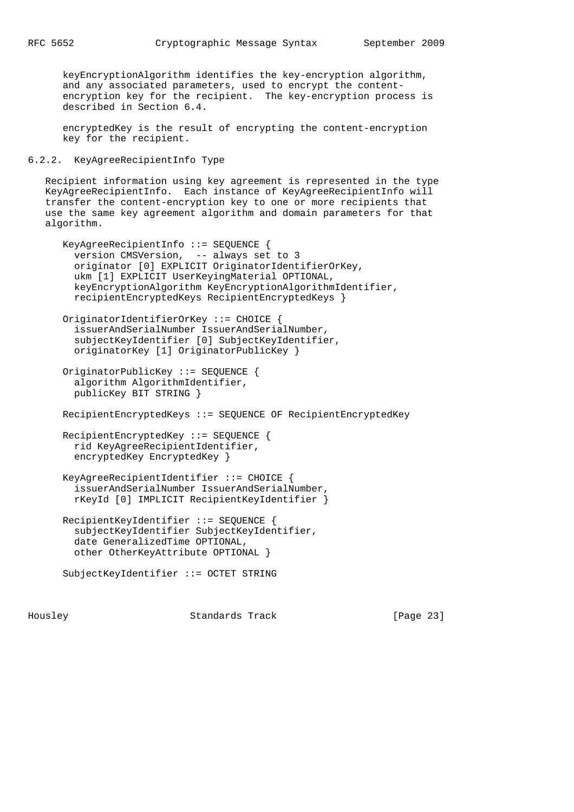keyEncryptionAlgorithm identifies the key-encryption algorithm, and any associated parameters, used to encrypt the content encryption key for the recipient. The key-encryption process is described in Section 6.4.

 encryptedKey is the result of encrypting the content-encryption key for the recipient.

6.2.2. KeyAgreeRecipientInfo Type

 Recipient information using key agreement is represented in the type KeyAgreeRecipientInfo. Each instance of KeyAgreeRecipientInfo will transfer the content-encryption key to one or more recipients that use the same key agreement algorithm and domain parameters for that algorithm.

```
 KeyAgreeRecipientInfo ::= SEQUENCE {
   version CMSVersion, -- always set to 3
   originator [0] EXPLICIT OriginatorIdentifierOrKey,
   ukm [1] EXPLICIT UserKeyingMaterial OPTIONAL,
   keyEncryptionAlgorithm KeyEncryptionAlgorithmIdentifier,
   recipientEncryptedKeys RecipientEncryptedKeys }
 OriginatorIdentifierOrKey ::= CHOICE {
   issuerAndSerialNumber IssuerAndSerialNumber,
   subjectKeyIdentifier [0] SubjectKeyIdentifier,
  originatorKey [1] OriginatorPublicKey }
 OriginatorPublicKey ::= SEQUENCE {
   algorithm AlgorithmIdentifier,
  publicKey BIT STRING }
 RecipientEncryptedKeys ::= SEQUENCE OF RecipientEncryptedKey
 RecipientEncryptedKey ::= SEQUENCE {
  rid KeyAgreeRecipientIdentifier,
   encryptedKey EncryptedKey }
 KeyAgreeRecipientIdentifier ::= CHOICE {
   issuerAndSerialNumber IssuerAndSerialNumber,
  rKeyId [0] IMPLICIT RecipientKeyIdentifier }
 RecipientKeyIdentifier ::= SEQUENCE {
   subjectKeyIdentifier SubjectKeyIdentifier,
   date GeneralizedTime OPTIONAL,
   other OtherKeyAttribute OPTIONAL }
 SubjectKeyIdentifier ::= OCTET STRING
```
Housley Standards Track [Page 23]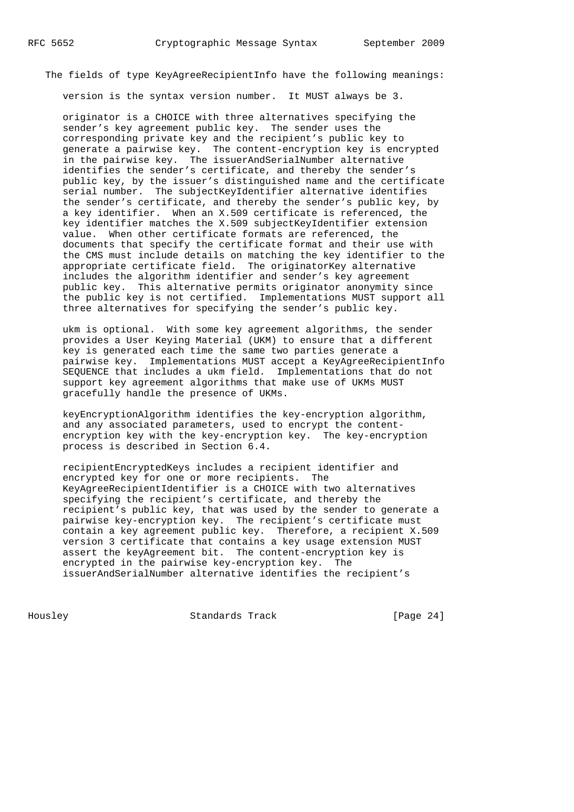The fields of type KeyAgreeRecipientInfo have the following meanings:

version is the syntax version number. It MUST always be 3.

 originator is a CHOICE with three alternatives specifying the sender's key agreement public key. The sender uses the corresponding private key and the recipient's public key to generate a pairwise key. The content-encryption key is encrypted in the pairwise key. The issuerAndSerialNumber alternative identifies the sender's certificate, and thereby the sender's public key, by the issuer's distinguished name and the certificate serial number. The subjectKeyIdentifier alternative identifies the sender's certificate, and thereby the sender's public key, by a key identifier. When an X.509 certificate is referenced, the key identifier matches the X.509 subjectKeyIdentifier extension value. When other certificate formats are referenced, the documents that specify the certificate format and their use with the CMS must include details on matching the key identifier to the appropriate certificate field. The originatorKey alternative includes the algorithm identifier and sender's key agreement public key. This alternative permits originator anonymity since the public key is not certified. Implementations MUST support all three alternatives for specifying the sender's public key.

 ukm is optional. With some key agreement algorithms, the sender provides a User Keying Material (UKM) to ensure that a different key is generated each time the same two parties generate a pairwise key. Implementations MUST accept a KeyAgreeRecipientInfo SEQUENCE that includes a ukm field. Implementations that do not support key agreement algorithms that make use of UKMs MUST gracefully handle the presence of UKMs.

 keyEncryptionAlgorithm identifies the key-encryption algorithm, and any associated parameters, used to encrypt the content encryption key with the key-encryption key. The key-encryption process is described in Section 6.4.

 recipientEncryptedKeys includes a recipient identifier and encrypted key for one or more recipients. The KeyAgreeRecipientIdentifier is a CHOICE with two alternatives specifying the recipient's certificate, and thereby the recipient's public key, that was used by the sender to generate a pairwise key-encryption key. The recipient's certificate must contain a key agreement public key. Therefore, a recipient X.509 version 3 certificate that contains a key usage extension MUST assert the keyAgreement bit. The content-encryption key is encrypted in the pairwise key-encryption key. The issuerAndSerialNumber alternative identifies the recipient's

Housley Standards Track [Page 24]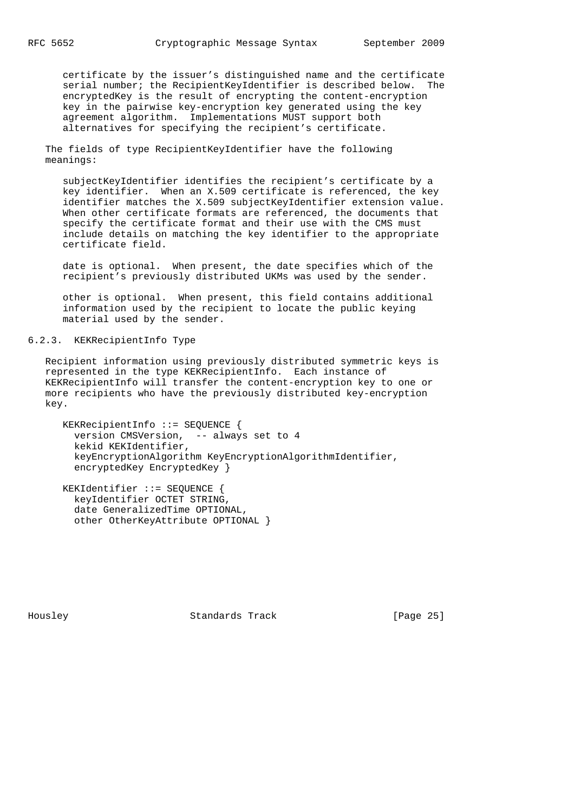certificate by the issuer's distinguished name and the certificate serial number; the RecipientKeyIdentifier is described below. The encryptedKey is the result of encrypting the content-encryption key in the pairwise key-encryption key generated using the key agreement algorithm. Implementations MUST support both alternatives for specifying the recipient's certificate.

 The fields of type RecipientKeyIdentifier have the following meanings:

 subjectKeyIdentifier identifies the recipient's certificate by a key identifier. When an X.509 certificate is referenced, the key identifier matches the X.509 subjectKeyIdentifier extension value. When other certificate formats are referenced, the documents that specify the certificate format and their use with the CMS must include details on matching the key identifier to the appropriate certificate field.

 date is optional. When present, the date specifies which of the recipient's previously distributed UKMs was used by the sender.

 other is optional. When present, this field contains additional information used by the recipient to locate the public keying material used by the sender.

# 6.2.3. KEKRecipientInfo Type

 Recipient information using previously distributed symmetric keys is represented in the type KEKRecipientInfo. Each instance of KEKRecipientInfo will transfer the content-encryption key to one or more recipients who have the previously distributed key-encryption key.

 KEKRecipientInfo ::= SEQUENCE { version CMSVersion, -- always set to 4 kekid KEKIdentifier, keyEncryptionAlgorithm KeyEncryptionAlgorithmIdentifier, encryptedKey EncryptedKey }

 KEKIdentifier ::= SEQUENCE { keyIdentifier OCTET STRING, date GeneralizedTime OPTIONAL, other OtherKeyAttribute OPTIONAL }

Housley Standards Track [Page 25]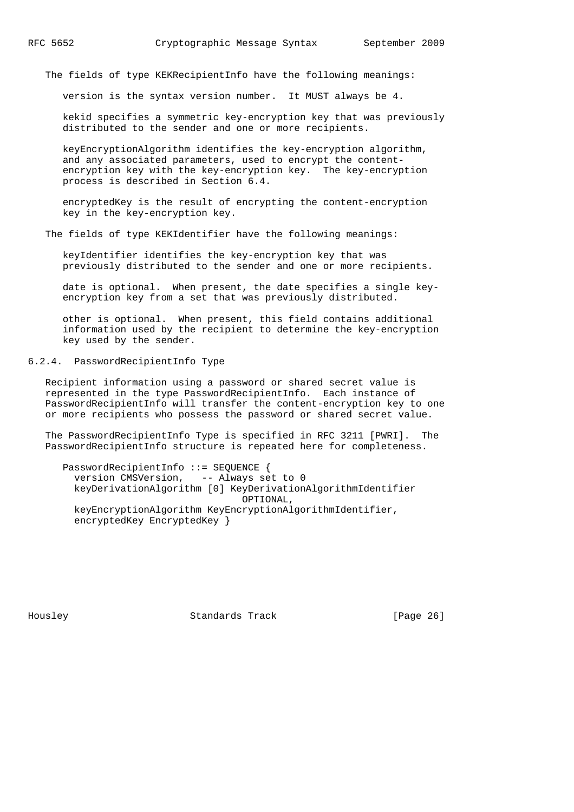The fields of type KEKRecipientInfo have the following meanings:

version is the syntax version number. It MUST always be 4.

 kekid specifies a symmetric key-encryption key that was previously distributed to the sender and one or more recipients.

 keyEncryptionAlgorithm identifies the key-encryption algorithm, and any associated parameters, used to encrypt the content encryption key with the key-encryption key. The key-encryption process is described in Section 6.4.

 encryptedKey is the result of encrypting the content-encryption key in the key-encryption key.

The fields of type KEKIdentifier have the following meanings:

 keyIdentifier identifies the key-encryption key that was previously distributed to the sender and one or more recipients.

 date is optional. When present, the date specifies a single key encryption key from a set that was previously distributed.

 other is optional. When present, this field contains additional information used by the recipient to determine the key-encryption key used by the sender.

6.2.4. PasswordRecipientInfo Type

 Recipient information using a password or shared secret value is represented in the type PasswordRecipientInfo. Each instance of PasswordRecipientInfo will transfer the content-encryption key to one or more recipients who possess the password or shared secret value.

 The PasswordRecipientInfo Type is specified in RFC 3211 [PWRI]. The PasswordRecipientInfo structure is repeated here for completeness.

 PasswordRecipientInfo ::= SEQUENCE { version CMSVersion, -- Always set to 0 keyDerivationAlgorithm [0] KeyDerivationAlgorithmIdentifier OPTIONAL, keyEncryptionAlgorithm KeyEncryptionAlgorithmIdentifier, encryptedKey EncryptedKey }

Housley Standards Track [Page 26]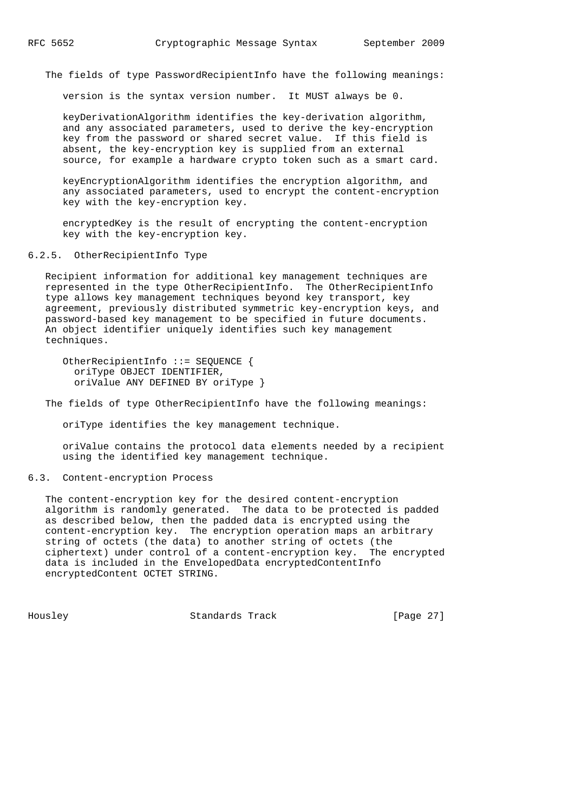The fields of type PasswordRecipientInfo have the following meanings:

version is the syntax version number. It MUST always be 0.

 keyDerivationAlgorithm identifies the key-derivation algorithm, and any associated parameters, used to derive the key-encryption key from the password or shared secret value. If this field is absent, the key-encryption key is supplied from an external source, for example a hardware crypto token such as a smart card.

 keyEncryptionAlgorithm identifies the encryption algorithm, and any associated parameters, used to encrypt the content-encryption key with the key-encryption key.

 encryptedKey is the result of encrypting the content-encryption key with the key-encryption key.

6.2.5. OtherRecipientInfo Type

 Recipient information for additional key management techniques are represented in the type OtherRecipientInfo. The OtherRecipientInfo type allows key management techniques beyond key transport, key agreement, previously distributed symmetric key-encryption keys, and password-based key management to be specified in future documents. An object identifier uniquely identifies such key management techniques.

 OtherRecipientInfo ::= SEQUENCE { oriType OBJECT IDENTIFIER, oriValue ANY DEFINED BY oriType }

The fields of type OtherRecipientInfo have the following meanings:

oriType identifies the key management technique.

 oriValue contains the protocol data elements needed by a recipient using the identified key management technique.

### 6.3. Content-encryption Process

 The content-encryption key for the desired content-encryption algorithm is randomly generated. The data to be protected is padded as described below, then the padded data is encrypted using the content-encryption key. The encryption operation maps an arbitrary string of octets (the data) to another string of octets (the ciphertext) under control of a content-encryption key. The encrypted data is included in the EnvelopedData encryptedContentInfo encryptedContent OCTET STRING.

Housley Standards Track [Page 27]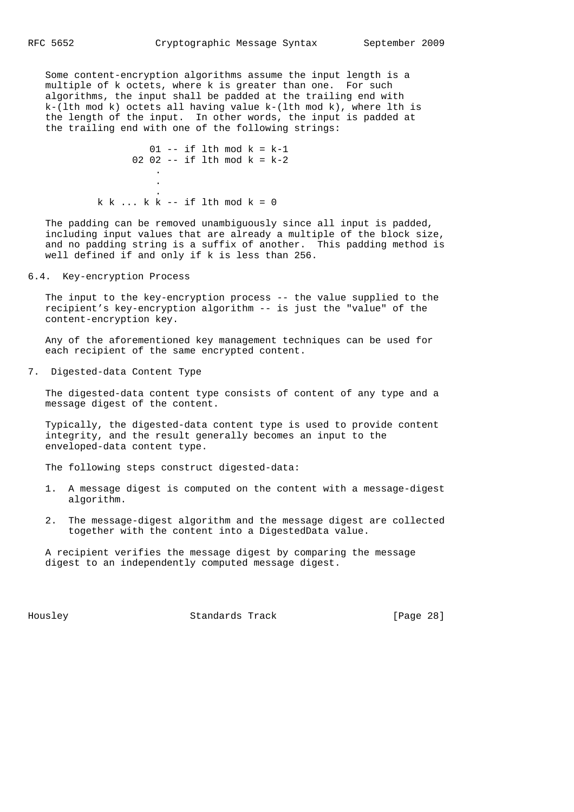Some content-encryption algorithms assume the input length is a multiple of k octets, where k is greater than one. For such algorithms, the input shall be padded at the trailing end with  $k-(lth mod k)$  octets all having value  $k-(lth mod k)$ , where lth is the length of the input. In other words, the input is padded at the trailing end with one of the following strings:

 $01$  -- if lth mod  $k = k-1$ 02 02 -- if 1th mod  $k = k-2$  . . .  $k k ... k k$  -- if lth mod  $k = 0$ 

 The padding can be removed unambiguously since all input is padded, including input values that are already a multiple of the block size, and no padding string is a suffix of another. This padding method is well defined if and only if k is less than 256.

6.4. Key-encryption Process

 The input to the key-encryption process -- the value supplied to the recipient's key-encryption algorithm -- is just the "value" of the content-encryption key.

 Any of the aforementioned key management techniques can be used for each recipient of the same encrypted content.

7. Digested-data Content Type

 The digested-data content type consists of content of any type and a message digest of the content.

 Typically, the digested-data content type is used to provide content integrity, and the result generally becomes an input to the enveloped-data content type.

The following steps construct digested-data:

- 1. A message digest is computed on the content with a message-digest algorithm.
- 2. The message-digest algorithm and the message digest are collected together with the content into a DigestedData value.

 A recipient verifies the message digest by comparing the message digest to an independently computed message digest.

Housley Standards Track [Page 28]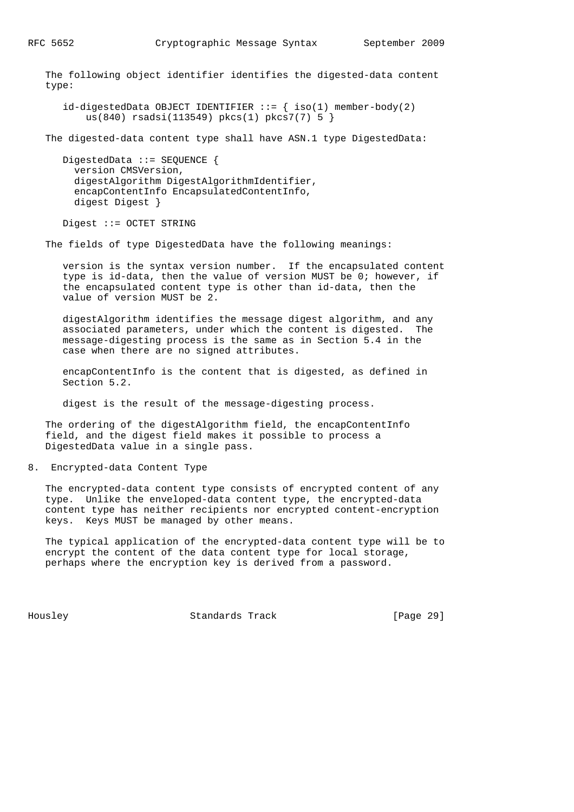The following object identifier identifies the digested-data content type:

 $id$ -digestedData OBJECT IDENTIFIER ::= { iso(1) member-body(2) us(840) rsadsi(113549) pkcs(1) pkcs7(7) 5 }

The digested-data content type shall have ASN.1 type DigestedData:

 DigestedData ::= SEQUENCE { version CMSVersion, digestAlgorithm DigestAlgorithmIdentifier, encapContentInfo EncapsulatedContentInfo, digest Digest }

Digest ::= OCTET STRING

The fields of type DigestedData have the following meanings:

 version is the syntax version number. If the encapsulated content type is id-data, then the value of version MUST be 0; however, if the encapsulated content type is other than id-data, then the value of version MUST be 2.

 digestAlgorithm identifies the message digest algorithm, and any associated parameters, under which the content is digested. The message-digesting process is the same as in Section 5.4 in the case when there are no signed attributes.

 encapContentInfo is the content that is digested, as defined in Section 5.2.

digest is the result of the message-digesting process.

 The ordering of the digestAlgorithm field, the encapContentInfo field, and the digest field makes it possible to process a DigestedData value in a single pass.

8. Encrypted-data Content Type

 The encrypted-data content type consists of encrypted content of any type. Unlike the enveloped-data content type, the encrypted-data content type has neither recipients nor encrypted content-encryption keys. Keys MUST be managed by other means.

 The typical application of the encrypted-data content type will be to encrypt the content of the data content type for local storage, perhaps where the encryption key is derived from a password.

Housley Standards Track [Page 29]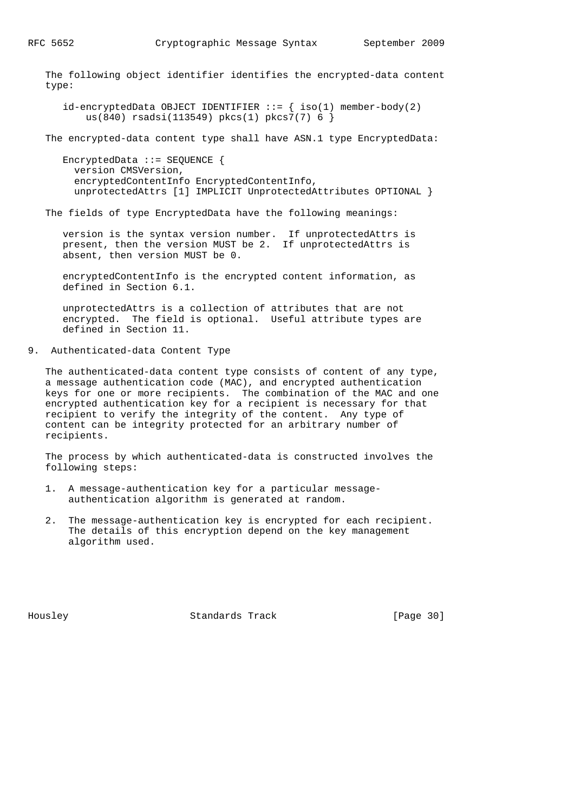The following object identifier identifies the encrypted-data content type:

 $id$ -encryptedData OBJECT IDENTIFIER ::= { iso(1) member-body(2) us(840) rsadsi(113549) pkcs(1) pkcs7(7) 6 }

The encrypted-data content type shall have ASN.1 type EncryptedData:

 EncryptedData ::= SEQUENCE { version CMSVersion, encryptedContentInfo EncryptedContentInfo, unprotectedAttrs [1] IMPLICIT UnprotectedAttributes OPTIONAL }

The fields of type EncryptedData have the following meanings:

 version is the syntax version number. If unprotectedAttrs is present, then the version MUST be 2. If unprotectedAttrs is absent, then version MUST be 0.

 encryptedContentInfo is the encrypted content information, as defined in Section 6.1.

 unprotectedAttrs is a collection of attributes that are not encrypted. The field is optional. Useful attribute types are defined in Section 11.

9. Authenticated-data Content Type

 The authenticated-data content type consists of content of any type, a message authentication code (MAC), and encrypted authentication keys for one or more recipients. The combination of the MAC and one encrypted authentication key for a recipient is necessary for that recipient to verify the integrity of the content. Any type of content can be integrity protected for an arbitrary number of recipients.

 The process by which authenticated-data is constructed involves the following steps:

- 1. A message-authentication key for a particular message authentication algorithm is generated at random.
- 2. The message-authentication key is encrypted for each recipient. The details of this encryption depend on the key management algorithm used.

Housley Standards Track [Page 30]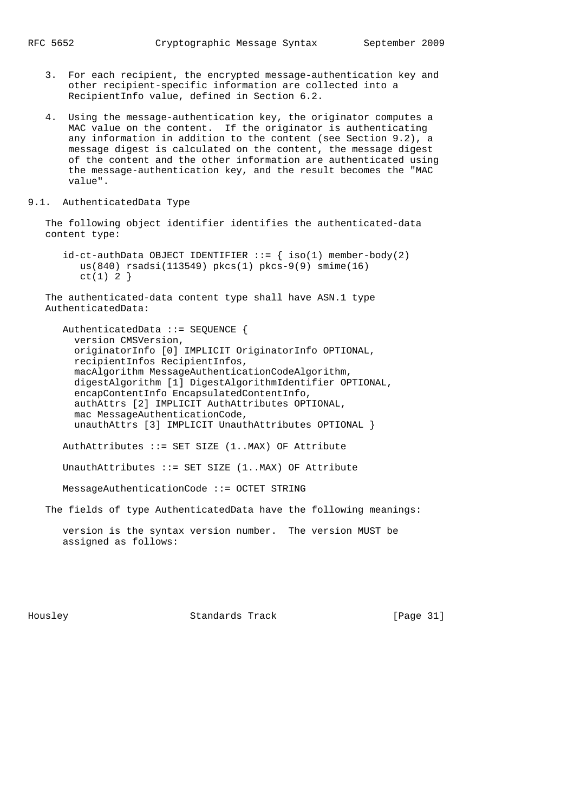- 3. For each recipient, the encrypted message-authentication key and other recipient-specific information are collected into a RecipientInfo value, defined in Section 6.2.
- 4. Using the message-authentication key, the originator computes a MAC value on the content. If the originator is authenticating any information in addition to the content (see Section 9.2), a message digest is calculated on the content, the message digest of the content and the other information are authenticated using the message-authentication key, and the result becomes the "MAC value".
- 9.1. AuthenticatedData Type

 The following object identifier identifies the authenticated-data content type:

 $id-ct-authData OBJECT IDENTIFYER ::= { iso(1) member-body(2) }$  us(840) rsadsi(113549) pkcs(1) pkcs-9(9) smime(16)  $ct(1) 2$ }

 The authenticated-data content type shall have ASN.1 type AuthenticatedData:

 AuthenticatedData ::= SEQUENCE { version CMSVersion, originatorInfo [0] IMPLICIT OriginatorInfo OPTIONAL, recipientInfos RecipientInfos, macAlgorithm MessageAuthenticationCodeAlgorithm, digestAlgorithm [1] DigestAlgorithmIdentifier OPTIONAL, encapContentInfo EncapsulatedContentInfo, authAttrs [2] IMPLICIT AuthAttributes OPTIONAL, mac MessageAuthenticationCode, unauthAttrs [3] IMPLICIT UnauthAttributes OPTIONAL }

AuthAttributes ::= SET SIZE (1..MAX) OF Attribute

UnauthAttributes  $::=$  SET SIZE  $(1..$ MAX) OF Attribute

MessageAuthenticationCode ::= OCTET STRING

The fields of type AuthenticatedData have the following meanings:

 version is the syntax version number. The version MUST be assigned as follows:

Housley Standards Track [Page 31]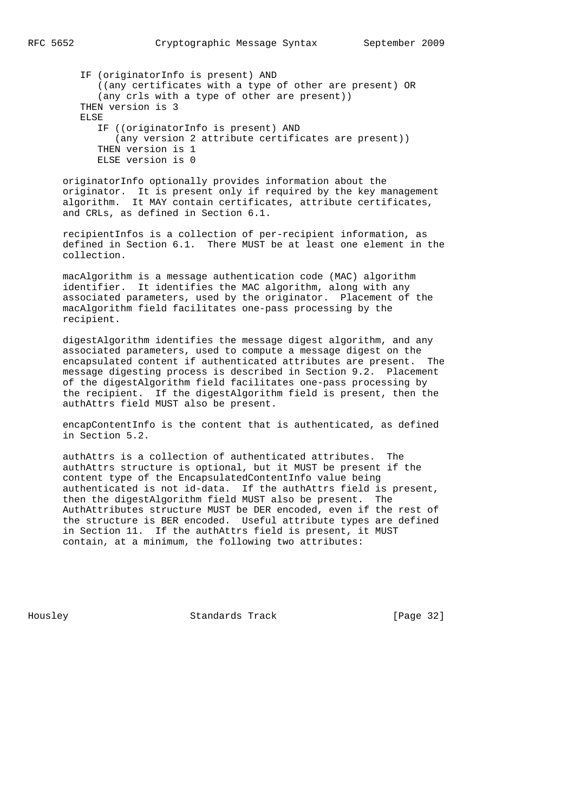IF (originatorInfo is present) AND ((any certificates with a type of other are present) OR (any crls with a type of other are present)) THEN version is 3 ELSE IF ((originatorInfo is present) AND (any version 2 attribute certificates are present)) THEN version is 1 ELSE version is 0

 originatorInfo optionally provides information about the originator. It is present only if required by the key management algorithm. It MAY contain certificates, attribute certificates, and CRLs, as defined in Section 6.1.

 recipientInfos is a collection of per-recipient information, as defined in Section 6.1. There MUST be at least one element in the collection.

 macAlgorithm is a message authentication code (MAC) algorithm identifier. It identifies the MAC algorithm, along with any associated parameters, used by the originator. Placement of the macAlgorithm field facilitates one-pass processing by the recipient.

 digestAlgorithm identifies the message digest algorithm, and any associated parameters, used to compute a message digest on the encapsulated content if authenticated attributes are present. The message digesting process is described in Section 9.2. Placement of the digestAlgorithm field facilitates one-pass processing by the recipient. If the digestAlgorithm field is present, then the authAttrs field MUST also be present.

 encapContentInfo is the content that is authenticated, as defined in Section 5.2.

 authAttrs is a collection of authenticated attributes. The authAttrs structure is optional, but it MUST be present if the content type of the EncapsulatedContentInfo value being authenticated is not id-data. If the authAttrs field is present, then the digestAlgorithm field MUST also be present. The AuthAttributes structure MUST be DER encoded, even if the rest of the structure is BER encoded. Useful attribute types are defined in Section 11. If the authAttrs field is present, it MUST contain, at a minimum, the following two attributes:

Housley Standards Track [Page 32]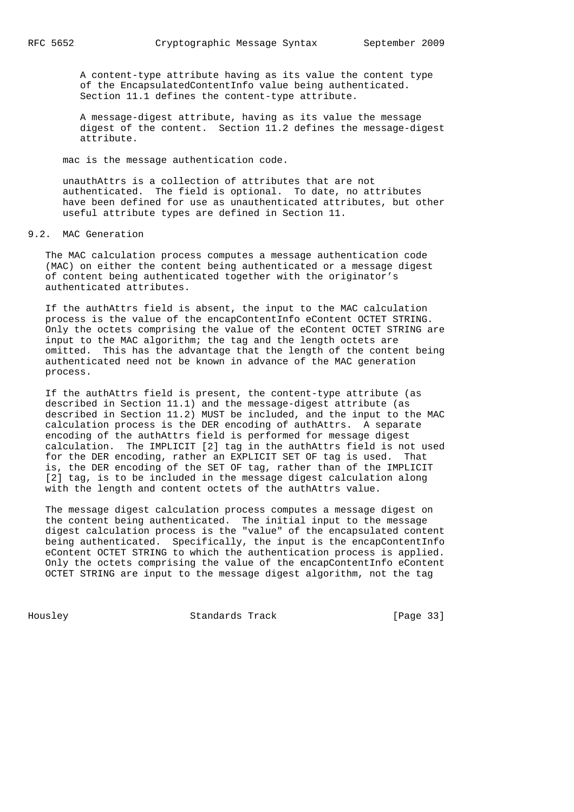A content-type attribute having as its value the content type of the EncapsulatedContentInfo value being authenticated. Section 11.1 defines the content-type attribute.

 A message-digest attribute, having as its value the message digest of the content. Section 11.2 defines the message-digest attribute.

mac is the message authentication code.

 unauthAttrs is a collection of attributes that are not authenticated. The field is optional. To date, no attributes have been defined for use as unauthenticated attributes, but other useful attribute types are defined in Section 11.

### 9.2. MAC Generation

 The MAC calculation process computes a message authentication code (MAC) on either the content being authenticated or a message digest of content being authenticated together with the originator's authenticated attributes.

 If the authAttrs field is absent, the input to the MAC calculation process is the value of the encapContentInfo eContent OCTET STRING. Only the octets comprising the value of the eContent OCTET STRING are input to the MAC algorithm; the tag and the length octets are omitted. This has the advantage that the length of the content being authenticated need not be known in advance of the MAC generation process.

 If the authAttrs field is present, the content-type attribute (as described in Section 11.1) and the message-digest attribute (as described in Section 11.2) MUST be included, and the input to the MAC calculation process is the DER encoding of authAttrs. A separate encoding of the authAttrs field is performed for message digest calculation. The IMPLICIT [2] tag in the authAttrs field is not used for the DER encoding, rather an EXPLICIT SET OF tag is used. That is, the DER encoding of the SET OF tag, rather than of the IMPLICIT [2] tag, is to be included in the message digest calculation along with the length and content octets of the authAttrs value.

 The message digest calculation process computes a message digest on the content being authenticated. The initial input to the message digest calculation process is the "value" of the encapsulated content being authenticated. Specifically, the input is the encapContentInfo eContent OCTET STRING to which the authentication process is applied. Only the octets comprising the value of the encapContentInfo eContent OCTET STRING are input to the message digest algorithm, not the tag

Housley Standards Track [Page 33]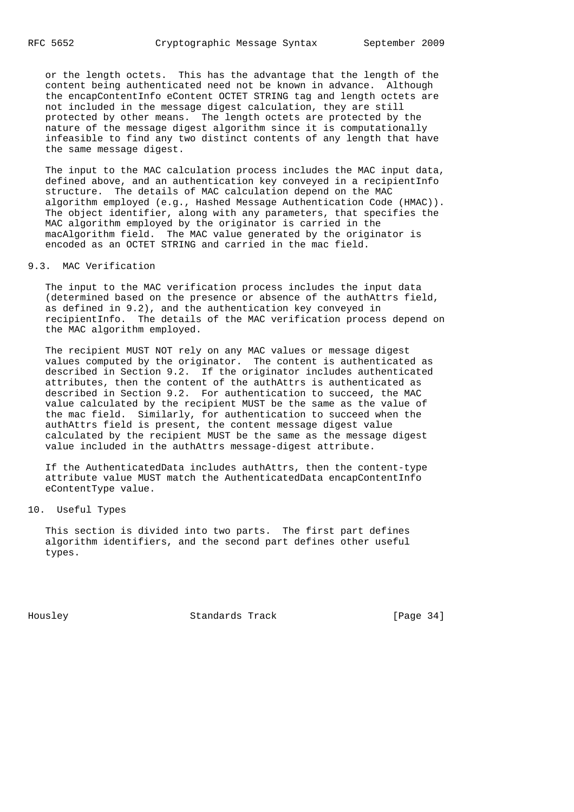or the length octets. This has the advantage that the length of the content being authenticated need not be known in advance. Although the encapContentInfo eContent OCTET STRING tag and length octets are not included in the message digest calculation, they are still protected by other means. The length octets are protected by the nature of the message digest algorithm since it is computationally infeasible to find any two distinct contents of any length that have the same message digest.

 The input to the MAC calculation process includes the MAC input data, defined above, and an authentication key conveyed in a recipientInfo structure. The details of MAC calculation depend on the MAC algorithm employed (e.g., Hashed Message Authentication Code (HMAC)). The object identifier, along with any parameters, that specifies the MAC algorithm employed by the originator is carried in the macAlgorithm field. The MAC value generated by the originator is encoded as an OCTET STRING and carried in the mac field.

# 9.3. MAC Verification

 The input to the MAC verification process includes the input data (determined based on the presence or absence of the authAttrs field, as defined in 9.2), and the authentication key conveyed in recipientInfo. The details of the MAC verification process depend on the MAC algorithm employed.

 The recipient MUST NOT rely on any MAC values or message digest values computed by the originator. The content is authenticated as described in Section 9.2. If the originator includes authenticated attributes, then the content of the authAttrs is authenticated as described in Section 9.2. For authentication to succeed, the MAC value calculated by the recipient MUST be the same as the value of the mac field. Similarly, for authentication to succeed when the authAttrs field is present, the content message digest value calculated by the recipient MUST be the same as the message digest value included in the authAttrs message-digest attribute.

 If the AuthenticatedData includes authAttrs, then the content-type attribute value MUST match the AuthenticatedData encapContentInfo eContentType value.

## 10. Useful Types

 This section is divided into two parts. The first part defines algorithm identifiers, and the second part defines other useful types.

Housley Standards Track [Page 34]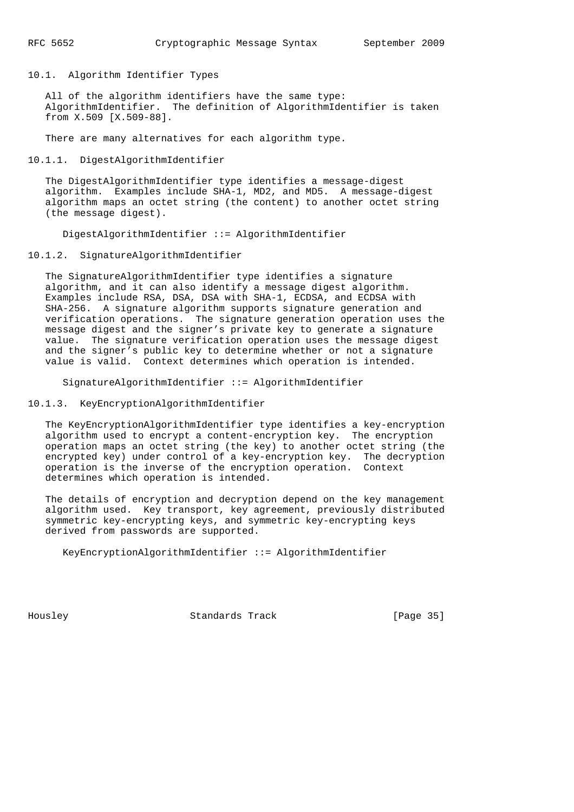10.1. Algorithm Identifier Types

 All of the algorithm identifiers have the same type: AlgorithmIdentifier. The definition of AlgorithmIdentifier is taken from X.509 [X.509-88].

There are many alternatives for each algorithm type.

10.1.1. DigestAlgorithmIdentifier

 The DigestAlgorithmIdentifier type identifies a message-digest algorithm. Examples include SHA-1, MD2, and MD5. A message-digest algorithm maps an octet string (the content) to another octet string (the message digest).

DigestAlgorithmIdentifier ::= AlgorithmIdentifier

10.1.2. SignatureAlgorithmIdentifier

 The SignatureAlgorithmIdentifier type identifies a signature algorithm, and it can also identify a message digest algorithm. Examples include RSA, DSA, DSA with SHA-1, ECDSA, and ECDSA with SHA-256. A signature algorithm supports signature generation and verification operations. The signature generation operation uses the message digest and the signer's private key to generate a signature value. The signature verification operation uses the message digest and the signer's public key to determine whether or not a signature value is valid. Context determines which operation is intended.

SignatureAlgorithmIdentifier ::= AlgorithmIdentifier

10.1.3. KeyEncryptionAlgorithmIdentifier

 The KeyEncryptionAlgorithmIdentifier type identifies a key-encryption algorithm used to encrypt a content-encryption key. The encryption operation maps an octet string (the key) to another octet string (the encrypted key) under control of a key-encryption key. The decryption operation is the inverse of the encryption operation. Context determines which operation is intended.

 The details of encryption and decryption depend on the key management algorithm used. Key transport, key agreement, previously distributed symmetric key-encrypting keys, and symmetric key-encrypting keys derived from passwords are supported.

KeyEncryptionAlgorithmIdentifier ::= AlgorithmIdentifier

Housley Standards Track [Page 35]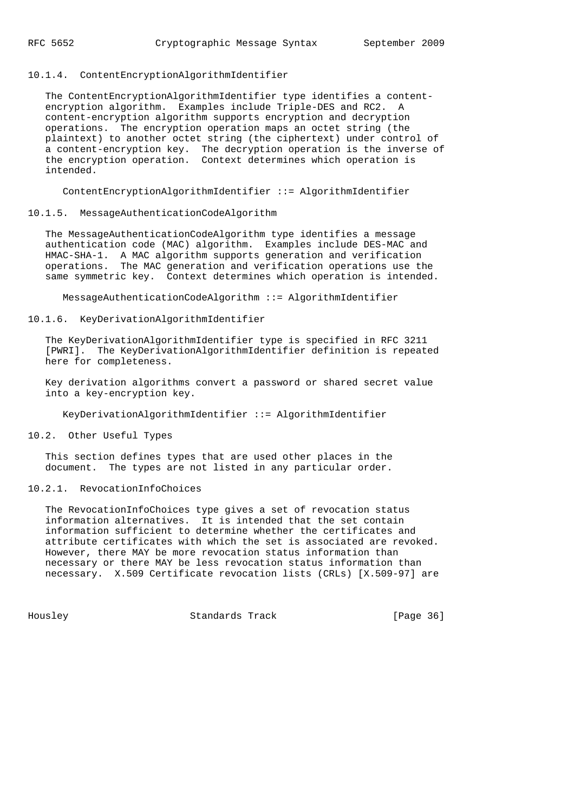## 10.1.4. ContentEncryptionAlgorithmIdentifier

 The ContentEncryptionAlgorithmIdentifier type identifies a content encryption algorithm. Examples include Triple-DES and RC2. A content-encryption algorithm supports encryption and decryption operations. The encryption operation maps an octet string (the plaintext) to another octet string (the ciphertext) under control of a content-encryption key. The decryption operation is the inverse of the encryption operation. Context determines which operation is intended.

ContentEncryptionAlgorithmIdentifier ::= AlgorithmIdentifier

#### 10.1.5. MessageAuthenticationCodeAlgorithm

 The MessageAuthenticationCodeAlgorithm type identifies a message authentication code (MAC) algorithm. Examples include DES-MAC and HMAC-SHA-1. A MAC algorithm supports generation and verification operations. The MAC generation and verification operations use the same symmetric key. Context determines which operation is intended.

MessageAuthenticationCodeAlgorithm ::= AlgorithmIdentifier

#### 10.1.6. KeyDerivationAlgorithmIdentifier

 The KeyDerivationAlgorithmIdentifier type is specified in RFC 3211 [PWRI]. The KeyDerivationAlgorithmIdentifier definition is repeated here for completeness.

 Key derivation algorithms convert a password or shared secret value into a key-encryption key.

KeyDerivationAlgorithmIdentifier ::= AlgorithmIdentifier

#### 10.2. Other Useful Types

 This section defines types that are used other places in the document. The types are not listed in any particular order.

## 10.2.1. RevocationInfoChoices

 The RevocationInfoChoices type gives a set of revocation status information alternatives. It is intended that the set contain information sufficient to determine whether the certificates and attribute certificates with which the set is associated are revoked. However, there MAY be more revocation status information than necessary or there MAY be less revocation status information than necessary. X.509 Certificate revocation lists (CRLs) [X.509-97] are

Housley Standards Track [Page 36]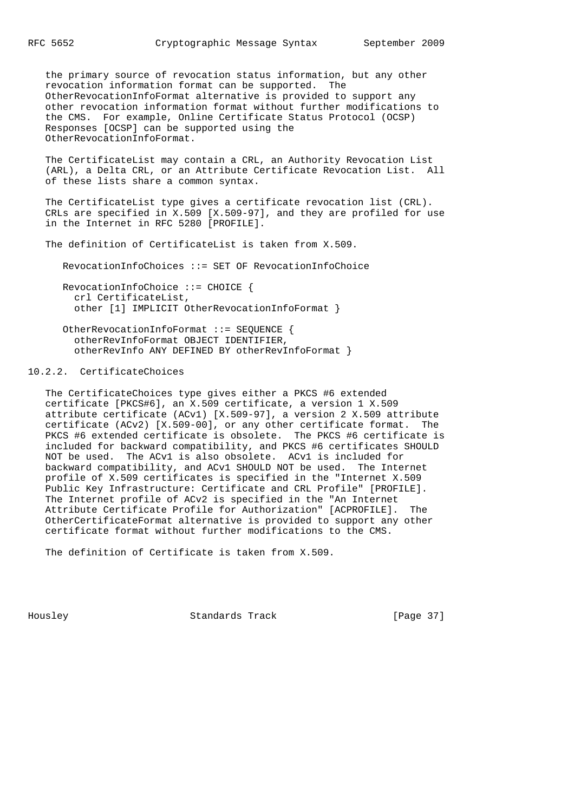the primary source of revocation status information, but any other revocation information format can be supported. The OtherRevocationInfoFormat alternative is provided to support any other revocation information format without further modifications to the CMS. For example, Online Certificate Status Protocol (OCSP) Responses [OCSP] can be supported using the OtherRevocationInfoFormat.

 The CertificateList may contain a CRL, an Authority Revocation List (ARL), a Delta CRL, or an Attribute Certificate Revocation List. All of these lists share a common syntax.

The CertificateList type gives a certificate revocation list (CRL). CRLs are specified in X.509 [X.509-97], and they are profiled for use in the Internet in RFC 5280 [PROFILE].

The definition of CertificateList is taken from X.509.

RevocationInfoChoices ::= SET OF RevocationInfoChoice

 RevocationInfoChoice ::= CHOICE { crl CertificateList, other [1] IMPLICIT OtherRevocationInfoFormat }

 OtherRevocationInfoFormat ::= SEQUENCE { otherRevInfoFormat OBJECT IDENTIFIER, otherRevInfo ANY DEFINED BY otherRevInfoFormat }

# 10.2.2. CertificateChoices

 The CertificateChoices type gives either a PKCS #6 extended certificate [PKCS#6], an X.509 certificate, a version 1 X.509 attribute certificate (ACv1) [X.509-97], a version 2 X.509 attribute certificate (ACv2) [X.509-00], or any other certificate format. The PKCS #6 extended certificate is obsolete. The PKCS #6 certificate is included for backward compatibility, and PKCS #6 certificates SHOULD NOT be used. The ACv1 is also obsolete. ACv1 is included for backward compatibility, and ACv1 SHOULD NOT be used. The Internet profile of X.509 certificates is specified in the "Internet X.509 Public Key Infrastructure: Certificate and CRL Profile" [PROFILE]. The Internet profile of ACv2 is specified in the "An Internet Attribute Certificate Profile for Authorization" [ACPROFILE]. The OtherCertificateFormat alternative is provided to support any other certificate format without further modifications to the CMS.

The definition of Certificate is taken from X.509.

Housley Standards Track [Page 37]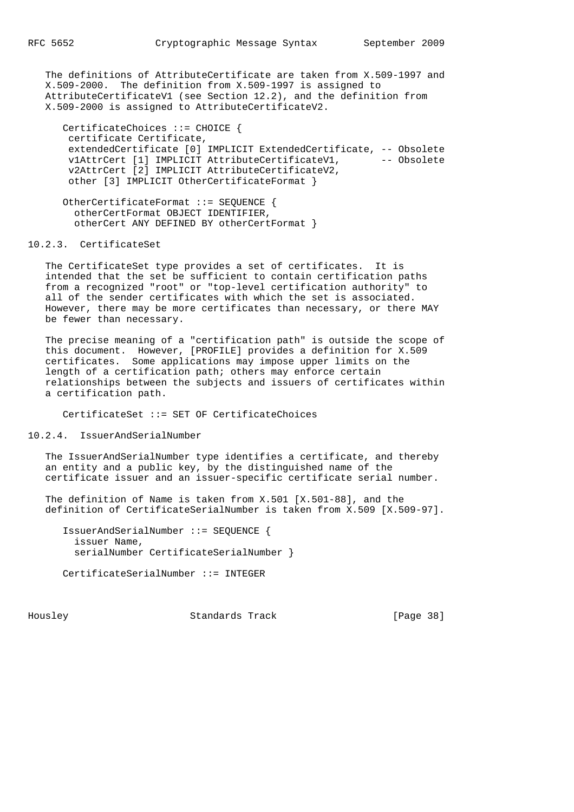The definitions of AttributeCertificate are taken from X.509-1997 and X.509-2000. The definition from X.509-1997 is assigned to AttributeCertificateV1 (see Section 12.2), and the definition from X.509-2000 is assigned to AttributeCertificateV2.

 CertificateChoices ::= CHOICE { certificate Certificate, extendedCertificate [0] IMPLICIT ExtendedCertificate, -- Obsolete v1AttrCert [1] IMPLICIT AttributeCertificateV1, -- Obsolete v2AttrCert [2] IMPLICIT AttributeCertificateV2, other [3] IMPLICIT OtherCertificateFormat }

 OtherCertificateFormat ::= SEQUENCE { otherCertFormat OBJECT IDENTIFIER, otherCert ANY DEFINED BY otherCertFormat }

# 10.2.3. CertificateSet

 The CertificateSet type provides a set of certificates. It is intended that the set be sufficient to contain certification paths from a recognized "root" or "top-level certification authority" to all of the sender certificates with which the set is associated. However, there may be more certificates than necessary, or there MAY be fewer than necessary.

 The precise meaning of a "certification path" is outside the scope of this document. However, [PROFILE] provides a definition for X.509 certificates. Some applications may impose upper limits on the length of a certification path; others may enforce certain relationships between the subjects and issuers of certificates within a certification path.

CertificateSet ::= SET OF CertificateChoices

#### 10.2.4. IssuerAndSerialNumber

 The IssuerAndSerialNumber type identifies a certificate, and thereby an entity and a public key, by the distinguished name of the certificate issuer and an issuer-specific certificate serial number.

 The definition of Name is taken from X.501 [X.501-88], and the definition of CertificateSerialNumber is taken from X.509 [X.509-97].

 IssuerAndSerialNumber ::= SEQUENCE { issuer Name, serialNumber CertificateSerialNumber }

CertificateSerialNumber ::= INTEGER

Housley Standards Track [Page 38]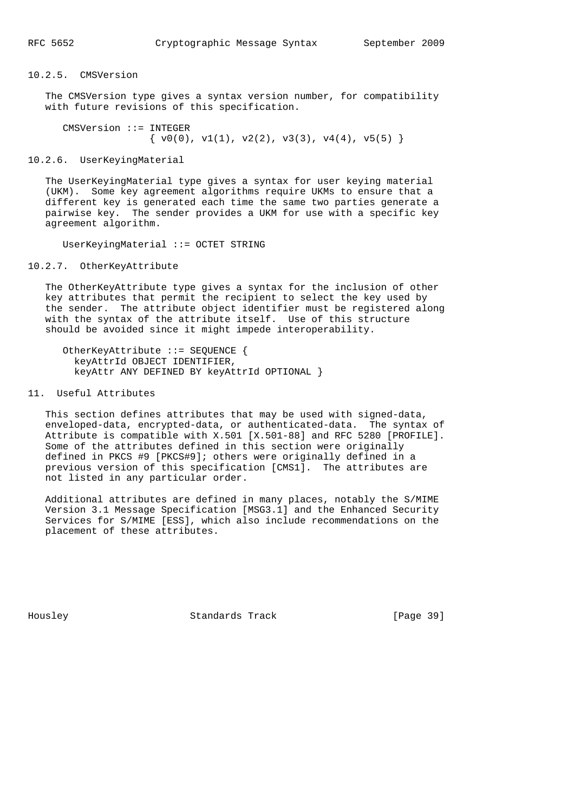## 10.2.5. CMSVersion

 The CMSVersion type gives a syntax version number, for compatibility with future revisions of this specification.

 CMSVersion ::= INTEGER  $\{ v0(0), v1(1), v2(2), v3(3), v4(4), v5(5) \}$ 

10.2.6. UserKeyingMaterial

 The UserKeyingMaterial type gives a syntax for user keying material (UKM). Some key agreement algorithms require UKMs to ensure that a different key is generated each time the same two parties generate a pairwise key. The sender provides a UKM for use with a specific key agreement algorithm.

UserKeyingMaterial ::= OCTET STRING

10.2.7. OtherKeyAttribute

 The OtherKeyAttribute type gives a syntax for the inclusion of other key attributes that permit the recipient to select the key used by the sender. The attribute object identifier must be registered along with the syntax of the attribute itself. Use of this structure should be avoided since it might impede interoperability.

```
 OtherKeyAttribute ::= SEQUENCE {
  keyAttrId OBJECT IDENTIFIER,
  keyAttr ANY DEFINED BY keyAttrId OPTIONAL }
```
## 11. Useful Attributes

 This section defines attributes that may be used with signed-data, enveloped-data, encrypted-data, or authenticated-data. The syntax of Attribute is compatible with X.501 [X.501-88] and RFC 5280 [PROFILE]. Some of the attributes defined in this section were originally defined in PKCS #9 [PKCS#9]; others were originally defined in a previous version of this specification [CMS1]. The attributes are not listed in any particular order.

 Additional attributes are defined in many places, notably the S/MIME Version 3.1 Message Specification [MSG3.1] and the Enhanced Security Services for S/MIME [ESS], which also include recommendations on the placement of these attributes.

Housley Standards Track [Page 39]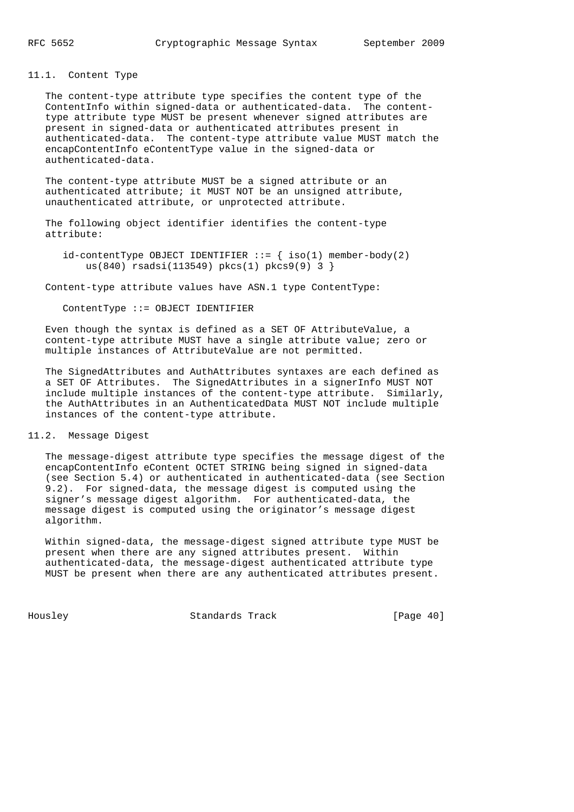11.1. Content Type

 The content-type attribute type specifies the content type of the ContentInfo within signed-data or authenticated-data. The content type attribute type MUST be present whenever signed attributes are present in signed-data or authenticated attributes present in authenticated-data. The content-type attribute value MUST match the encapContentInfo eContentType value in the signed-data or authenticated-data.

 The content-type attribute MUST be a signed attribute or an authenticated attribute; it MUST NOT be an unsigned attribute, unauthenticated attribute, or unprotected attribute.

 The following object identifier identifies the content-type attribute:

 $id$ -contentType OBJECT IDENTIFIER ::= { iso(1) member-body(2) us(840) rsadsi(113549) pkcs(1) pkcs9(9) 3 }

Content-type attribute values have ASN.1 type ContentType:

ContentType ::= OBJECT IDENTIFIER

 Even though the syntax is defined as a SET OF AttributeValue, a content-type attribute MUST have a single attribute value; zero or multiple instances of AttributeValue are not permitted.

 The SignedAttributes and AuthAttributes syntaxes are each defined as a SET OF Attributes. The SignedAttributes in a signerInfo MUST NOT include multiple instances of the content-type attribute. Similarly, the AuthAttributes in an AuthenticatedData MUST NOT include multiple instances of the content-type attribute.

11.2. Message Digest

 The message-digest attribute type specifies the message digest of the encapContentInfo eContent OCTET STRING being signed in signed-data (see Section 5.4) or authenticated in authenticated-data (see Section 9.2). For signed-data, the message digest is computed using the signer's message digest algorithm. For authenticated-data, the message digest is computed using the originator's message digest algorithm.

 Within signed-data, the message-digest signed attribute type MUST be present when there are any signed attributes present. Within authenticated-data, the message-digest authenticated attribute type MUST be present when there are any authenticated attributes present.

Housley Standards Track [Page 40]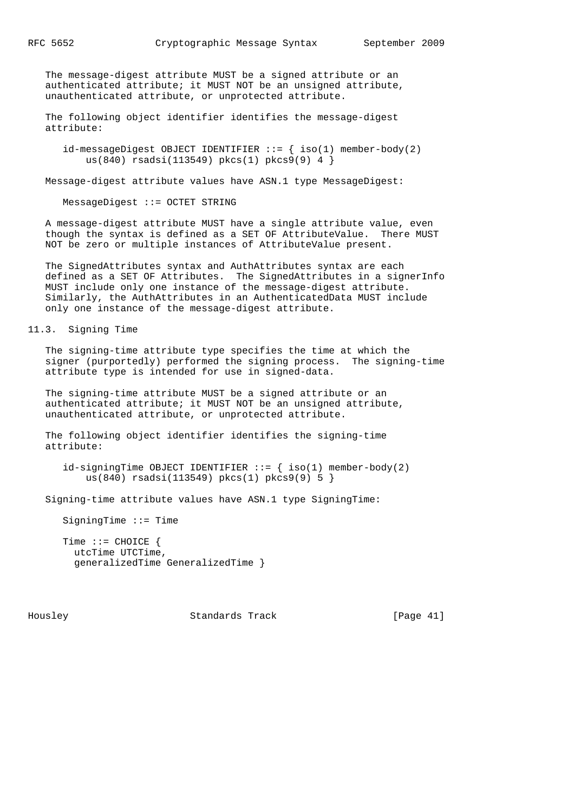The message-digest attribute MUST be a signed attribute or an authenticated attribute; it MUST NOT be an unsigned attribute, unauthenticated attribute, or unprotected attribute.

 The following object identifier identifies the message-digest attribute:

 $id$ -messageDigest OBJECT IDENTIFIER ::=  $\{ \text{ iso}(1) \text{ member-body}(2)$ us(840) rsadsi(113549) pkcs(1) pkcs9(9) 4 }

Message-digest attribute values have ASN.1 type MessageDigest:

MessageDigest ::= OCTET STRING

 A message-digest attribute MUST have a single attribute value, even though the syntax is defined as a SET OF AttributeValue. There MUST NOT be zero or multiple instances of AttributeValue present.

 The SignedAttributes syntax and AuthAttributes syntax are each defined as a SET OF Attributes. The SignedAttributes in a signerInfo MUST include only one instance of the message-digest attribute. Similarly, the AuthAttributes in an AuthenticatedData MUST include only one instance of the message-digest attribute.

11.3. Signing Time

 The signing-time attribute type specifies the time at which the signer (purportedly) performed the signing process. The signing-time attribute type is intended for use in signed-data.

 The signing-time attribute MUST be a signed attribute or an authenticated attribute; it MUST NOT be an unsigned attribute, unauthenticated attribute, or unprotected attribute.

 The following object identifier identifies the signing-time attribute:

 $id\text{-}sigmoid$  OBJECT IDENTIFIER ::= { iso(1) member-body(2) us(840) rsadsi(113549) pkcs(1) pkcs9(9) 5 }

Signing-time attribute values have ASN.1 type SigningTime:

SigningTime ::= Time

 Time ::= CHOICE { utcTime UTCTime, generalizedTime GeneralizedTime }

Housley Standards Track [Page 41]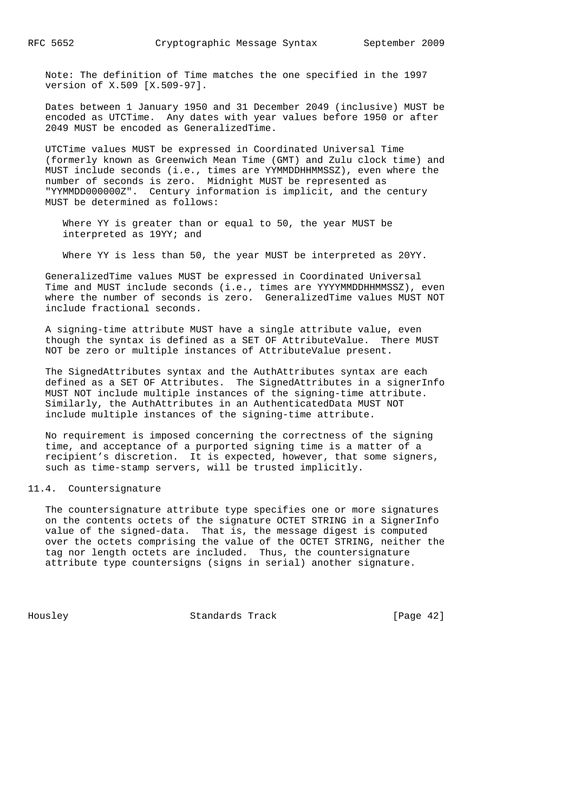Note: The definition of Time matches the one specified in the 1997 version of X.509 [X.509-97].

 Dates between 1 January 1950 and 31 December 2049 (inclusive) MUST be encoded as UTCTime. Any dates with year values before 1950 or after 2049 MUST be encoded as GeneralizedTime.

 UTCTime values MUST be expressed in Coordinated Universal Time (formerly known as Greenwich Mean Time (GMT) and Zulu clock time) and MUST include seconds (i.e., times are YYMMDDHHMMSSZ), even where the number of seconds is zero. Midnight MUST be represented as "YYMMDD000000Z". Century information is implicit, and the century MUST be determined as follows:

 Where YY is greater than or equal to 50, the year MUST be interpreted as 19YY; and

Where YY is less than 50, the year MUST be interpreted as 20YY.

 GeneralizedTime values MUST be expressed in Coordinated Universal Time and MUST include seconds (i.e., times are YYYYMMDDHHMMSSZ), even where the number of seconds is zero. GeneralizedTime values MUST NOT include fractional seconds.

 A signing-time attribute MUST have a single attribute value, even though the syntax is defined as a SET OF AttributeValue. There MUST NOT be zero or multiple instances of AttributeValue present.

 The SignedAttributes syntax and the AuthAttributes syntax are each defined as a SET OF Attributes. The SignedAttributes in a signerInfo MUST NOT include multiple instances of the signing-time attribute. Similarly, the AuthAttributes in an AuthenticatedData MUST NOT include multiple instances of the signing-time attribute.

 No requirement is imposed concerning the correctness of the signing time, and acceptance of a purported signing time is a matter of a recipient's discretion. It is expected, however, that some signers, such as time-stamp servers, will be trusted implicitly.

## 11.4. Countersignature

 The countersignature attribute type specifies one or more signatures on the contents octets of the signature OCTET STRING in a SignerInfo value of the signed-data. That is, the message digest is computed over the octets comprising the value of the OCTET STRING, neither the tag nor length octets are included. Thus, the countersignature attribute type countersigns (signs in serial) another signature.

Housley Standards Track [Page 42]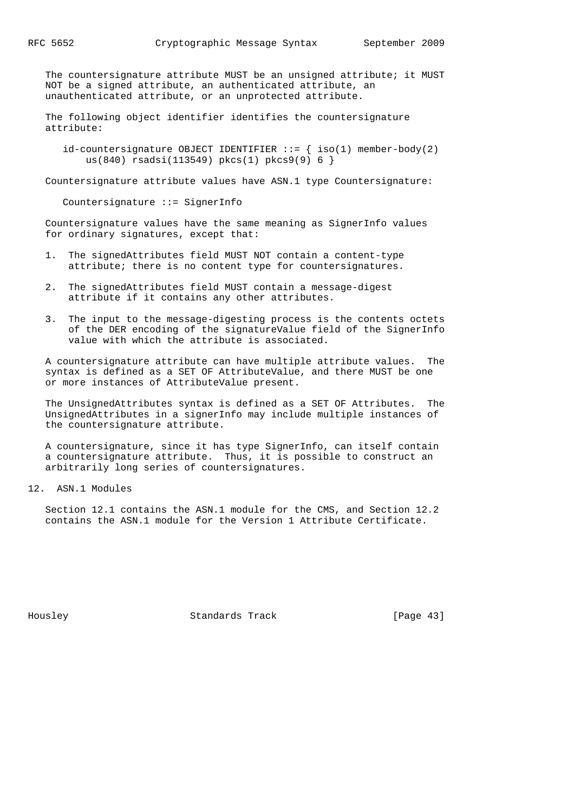The countersignature attribute MUST be an unsigned attribute; it MUST NOT be a signed attribute, an authenticated attribute, an unauthenticated attribute, or an unprotected attribute.

 The following object identifier identifies the countersignature attribute:

id-countersignature OBJECT IDENTIFIER  $::=$  { iso(1) member-body(2) us(840) rsadsi(113549) pkcs(1) pkcs9(9) 6 }

Countersignature attribute values have ASN.1 type Countersignature:

Countersignature ::= SignerInfo

 Countersignature values have the same meaning as SignerInfo values for ordinary signatures, except that:

- 1. The signedAttributes field MUST NOT contain a content-type attribute; there is no content type for countersignatures.
- 2. The signedAttributes field MUST contain a message-digest attribute if it contains any other attributes.
- 3. The input to the message-digesting process is the contents octets of the DER encoding of the signatureValue field of the SignerInfo value with which the attribute is associated.

 A countersignature attribute can have multiple attribute values. The syntax is defined as a SET OF AttributeValue, and there MUST be one or more instances of AttributeValue present.

 The UnsignedAttributes syntax is defined as a SET OF Attributes. The UnsignedAttributes in a signerInfo may include multiple instances of the countersignature attribute.

 A countersignature, since it has type SignerInfo, can itself contain a countersignature attribute. Thus, it is possible to construct an arbitrarily long series of countersignatures.

12. ASN.1 Modules

 Section 12.1 contains the ASN.1 module for the CMS, and Section 12.2 contains the ASN.1 module for the Version 1 Attribute Certificate.

Housley Standards Track [Page 43]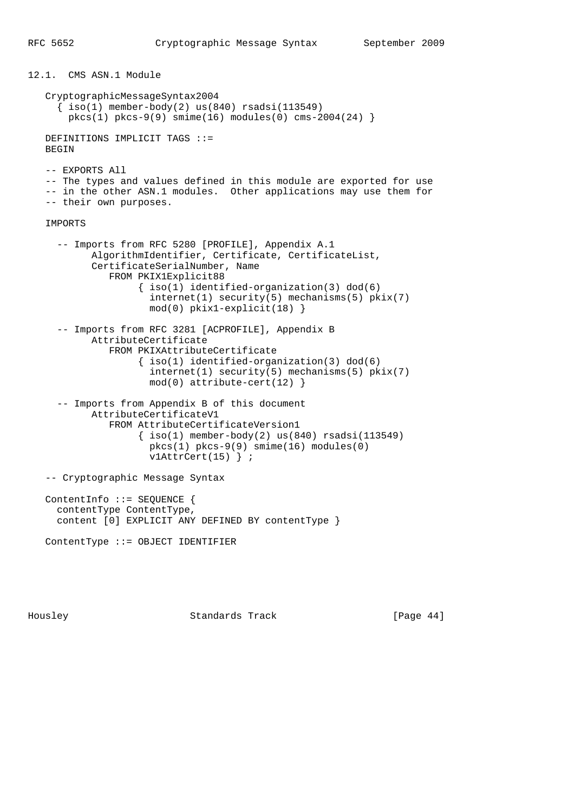```
12.1. CMS ASN.1 Module
    CryptographicMessageSyntax2004
     \{ iso(1) member-body(2) us(840) rsadsi(113549) pkcs(1) pkcs-9(9) smime(16) modules(0) cms-2004(24) }
    DEFINITIONS IMPLICIT TAGS ::=
    BEGIN
    -- EXPORTS All
    -- The types and values defined in this module are exported for use
    -- in the other ASN.1 modules. Other applications may use them for
    -- their own purposes.
    IMPORTS
      -- Imports from RFC 5280 [PROFILE], Appendix A.1
            AlgorithmIdentifier, Certificate, CertificateList,
            CertificateSerialNumber, Name
               FROM PKIX1Explicit88
                     { iso(1) identified-organization(3) dod(6)
                       internet(1) security(5) mechanisms(5) pkix(7)
                       mod(0) pkix1-explicit(18) }
      -- Imports from RFC 3281 [ACPROFILE], Appendix B
            AttributeCertificate
               FROM PKIXAttributeCertificate
                    \{ iso(1) <i>identified-organization(3) <math> dod(6)</math> internet(1) security(5) mechanisms(5) pkix(7)
                      mod(0) attribute-cert(12) }
      -- Imports from Appendix B of this document
            AttributeCertificateV1
               FROM AttributeCertificateVersion1
                    \{ iso(1) member-body(2) us(840) rsadsi(113549) pkcs(1) pkcs-9(9) smime(16) modules(0)
                     v1AttrCert(15) } ;
    -- Cryptographic Message Syntax
    ContentInfo ::= SEQUENCE {
      contentType ContentType,
      content [0] EXPLICIT ANY DEFINED BY contentType }
    ContentType ::= OBJECT IDENTIFIER
```
Housley Standards Track [Page 44]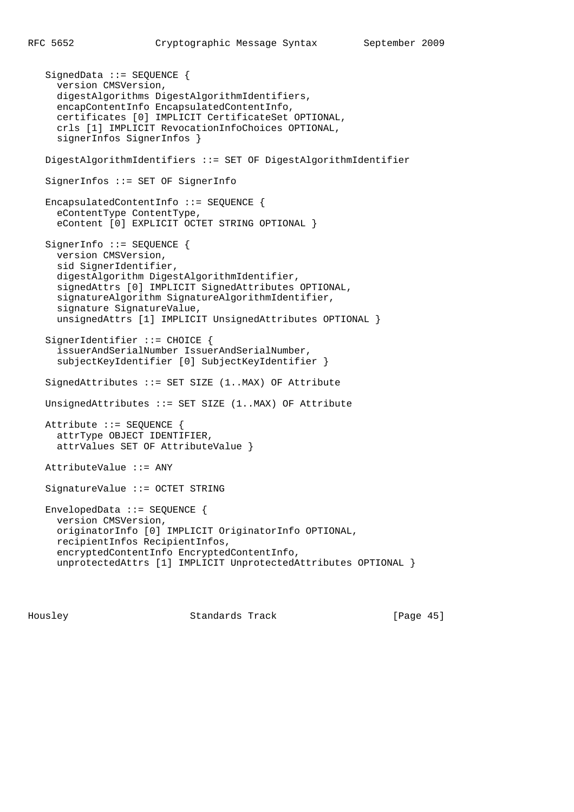SignedData ::= SEQUENCE { version CMSVersion, digestAlgorithms DigestAlgorithmIdentifiers, encapContentInfo EncapsulatedContentInfo, certificates [0] IMPLICIT CertificateSet OPTIONAL, crls [1] IMPLICIT RevocationInfoChoices OPTIONAL, signerInfos SignerInfos } DigestAlgorithmIdentifiers ::= SET OF DigestAlgorithmIdentifier SignerInfos ::= SET OF SignerInfo EncapsulatedContentInfo ::= SEQUENCE { eContentType ContentType, eContent [0] EXPLICIT OCTET STRING OPTIONAL } SignerInfo ::= SEQUENCE { version CMSVersion, sid SignerIdentifier, digestAlgorithm DigestAlgorithmIdentifier, signedAttrs [0] IMPLICIT SignedAttributes OPTIONAL, signatureAlgorithm SignatureAlgorithmIdentifier, signature SignatureValue, unsignedAttrs [1] IMPLICIT UnsignedAttributes OPTIONAL } SignerIdentifier ::= CHOICE { issuerAndSerialNumber IssuerAndSerialNumber, subjectKeyIdentifier [0] SubjectKeyIdentifier } SignedAttributes ::= SET SIZE (1..MAX) OF Attribute UnsignedAttributes ::= SET SIZE (1..MAX) OF Attribute Attribute ::= SEQUENCE { attrType OBJECT IDENTIFIER, attrValues SET OF AttributeValue } AttributeValue ::= ANY SignatureValue ::= OCTET STRING EnvelopedData ::= SEQUENCE { version CMSVersion, originatorInfo [0] IMPLICIT OriginatorInfo OPTIONAL, recipientInfos RecipientInfos, encryptedContentInfo EncryptedContentInfo, unprotectedAttrs [1] IMPLICIT UnprotectedAttributes OPTIONAL }

Housley Standards Track [Page 45]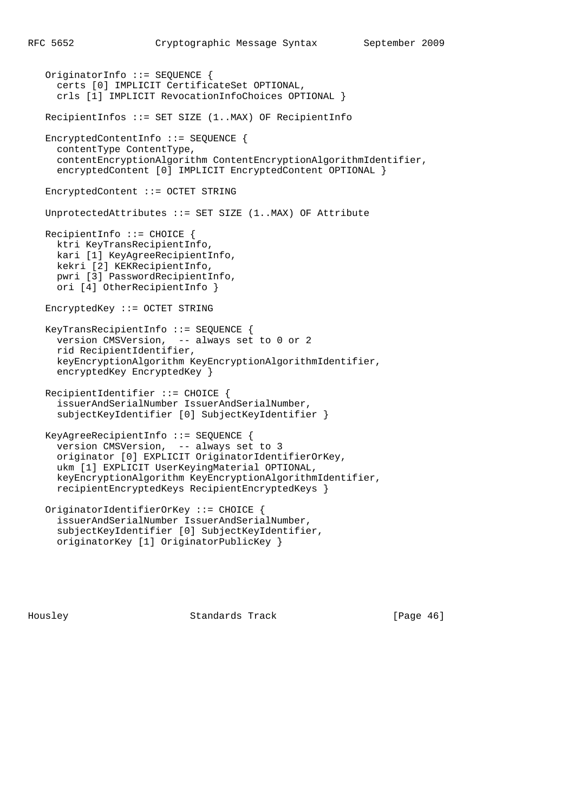```
 OriginatorInfo ::= SEQUENCE {
   certs [0] IMPLICIT CertificateSet OPTIONAL,
   crls [1] IMPLICIT RevocationInfoChoices OPTIONAL }
 RecipientInfos ::= SET SIZE (1..MAX) OF RecipientInfo
 EncryptedContentInfo ::= SEQUENCE {
  contentType ContentType,
   contentEncryptionAlgorithm ContentEncryptionAlgorithmIdentifier,
   encryptedContent [0] IMPLICIT EncryptedContent OPTIONAL }
 EncryptedContent ::= OCTET STRING
 UnprotectedAttributes ::= SET SIZE (1..MAX) OF Attribute
 RecipientInfo ::= CHOICE {
  ktri KeyTransRecipientInfo,
  kari [1] KeyAgreeRecipientInfo,
  kekri [2] KEKRecipientInfo,
   pwri [3] PasswordRecipientInfo,
   ori [4] OtherRecipientInfo }
 EncryptedKey ::= OCTET STRING
 KeyTransRecipientInfo ::= SEQUENCE {
   version CMSVersion, -- always set to 0 or 2
   rid RecipientIdentifier,
   keyEncryptionAlgorithm KeyEncryptionAlgorithmIdentifier,
   encryptedKey EncryptedKey }
 RecipientIdentifier ::= CHOICE {
   issuerAndSerialNumber IssuerAndSerialNumber,
   subjectKeyIdentifier [0] SubjectKeyIdentifier }
 KeyAgreeRecipientInfo ::= SEQUENCE {
   version CMSVersion, -- always set to 3
   originator [0] EXPLICIT OriginatorIdentifierOrKey,
   ukm [1] EXPLICIT UserKeyingMaterial OPTIONAL,
   keyEncryptionAlgorithm KeyEncryptionAlgorithmIdentifier,
   recipientEncryptedKeys RecipientEncryptedKeys }
 OriginatorIdentifierOrKey ::= CHOICE {
   issuerAndSerialNumber IssuerAndSerialNumber,
   subjectKeyIdentifier [0] SubjectKeyIdentifier,
   originatorKey [1] OriginatorPublicKey }
```
Housley Standards Track [Page 46]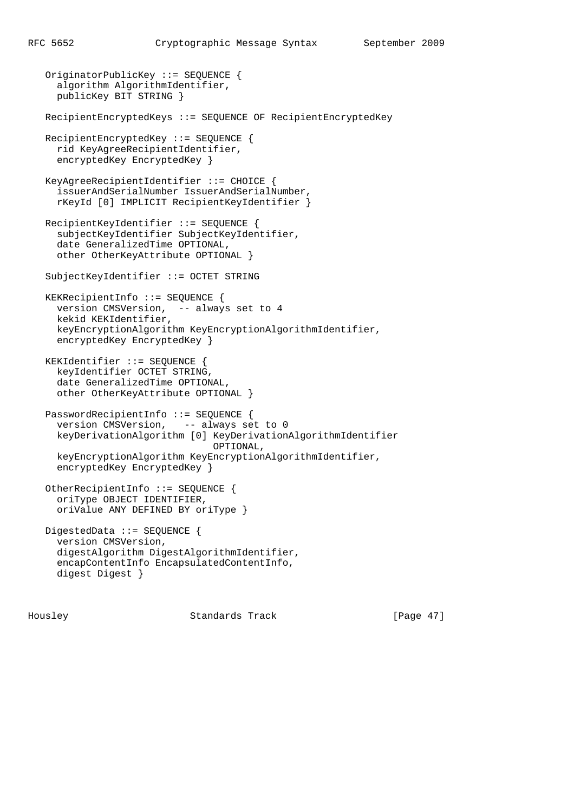OriginatorPublicKey ::= SEQUENCE { algorithm AlgorithmIdentifier, publicKey BIT STRING } RecipientEncryptedKeys ::= SEQUENCE OF RecipientEncryptedKey RecipientEncryptedKey ::= SEQUENCE { rid KeyAgreeRecipientIdentifier, encryptedKey EncryptedKey } KeyAgreeRecipientIdentifier ::= CHOICE { issuerAndSerialNumber IssuerAndSerialNumber, rKeyId [0] IMPLICIT RecipientKeyIdentifier } RecipientKeyIdentifier ::= SEQUENCE { subjectKeyIdentifier SubjectKeyIdentifier, date GeneralizedTime OPTIONAL, other OtherKeyAttribute OPTIONAL } SubjectKeyIdentifier ::= OCTET STRING KEKRecipientInfo ::= SEQUENCE { version CMSVersion, -- always set to 4 kekid KEKIdentifier, keyEncryptionAlgorithm KeyEncryptionAlgorithmIdentifier, encryptedKey EncryptedKey } KEKIdentifier ::= SEQUENCE { keyIdentifier OCTET STRING, date GeneralizedTime OPTIONAL, other OtherKeyAttribute OPTIONAL } PasswordRecipientInfo ::= SEQUENCE { version CMSVersion, -- always set to 0 keyDerivationAlgorithm [0] KeyDerivationAlgorithmIdentifier OPTIONAL, keyEncryptionAlgorithm KeyEncryptionAlgorithmIdentifier, encryptedKey EncryptedKey } OtherRecipientInfo ::= SEQUENCE { oriType OBJECT IDENTIFIER, oriValue ANY DEFINED BY oriType } DigestedData ::= SEQUENCE { version CMSVersion, digestAlgorithm DigestAlgorithmIdentifier, encapContentInfo EncapsulatedContentInfo, digest Digest }

Housley Standards Track [Page 47]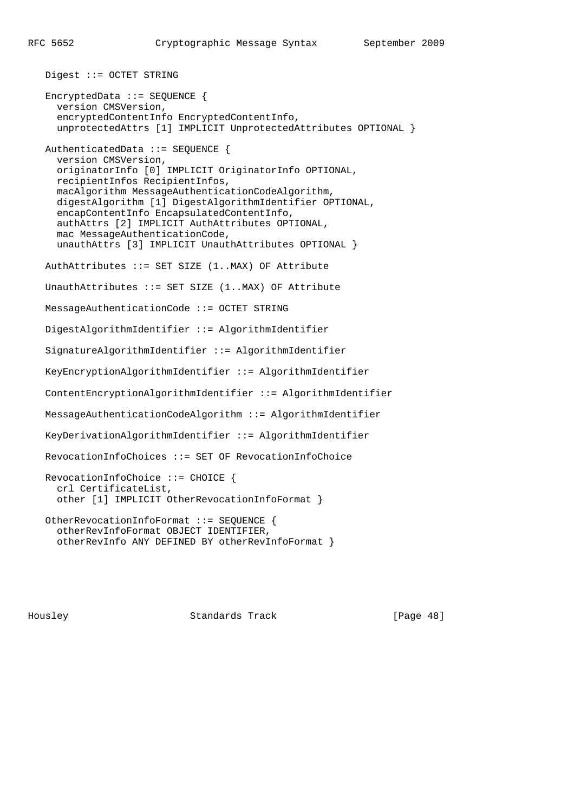Digest ::= OCTET STRING

 EncryptedData ::= SEQUENCE { version CMSVersion, encryptedContentInfo EncryptedContentInfo, unprotectedAttrs [1] IMPLICIT UnprotectedAttributes OPTIONAL }

 AuthenticatedData ::= SEQUENCE { version CMSVersion, originatorInfo [0] IMPLICIT OriginatorInfo OPTIONAL, recipientInfos RecipientInfos, macAlgorithm MessageAuthenticationCodeAlgorithm, digestAlgorithm [1] DigestAlgorithmIdentifier OPTIONAL, encapContentInfo EncapsulatedContentInfo, authAttrs [2] IMPLICIT AuthAttributes OPTIONAL, mac MessageAuthenticationCode, unauthAttrs [3] IMPLICIT UnauthAttributes OPTIONAL }

AuthAttributes ::= SET SIZE (1..MAX) OF Attribute

UnauthAttributes ::= SET SIZE (1..MAX) OF Attribute

MessageAuthenticationCode ::= OCTET STRING

DigestAlgorithmIdentifier ::= AlgorithmIdentifier

SignatureAlgorithmIdentifier ::= AlgorithmIdentifier

KeyEncryptionAlgorithmIdentifier ::= AlgorithmIdentifier

ContentEncryptionAlgorithmIdentifier ::= AlgorithmIdentifier

MessageAuthenticationCodeAlgorithm ::= AlgorithmIdentifier

KeyDerivationAlgorithmIdentifier ::= AlgorithmIdentifier

RevocationInfoChoices ::= SET OF RevocationInfoChoice

```
 RevocationInfoChoice ::= CHOICE {
   crl CertificateList,
   other [1] IMPLICIT OtherRevocationInfoFormat }
```

```
 OtherRevocationInfoFormat ::= SEQUENCE {
   otherRevInfoFormat OBJECT IDENTIFIER,
   otherRevInfo ANY DEFINED BY otherRevInfoFormat }
```
Housley Standards Track [Page 48]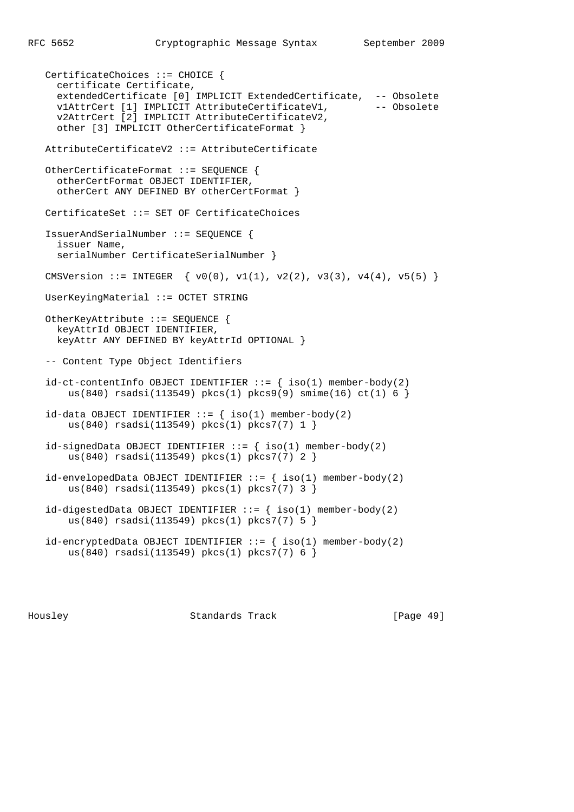CertificateChoices ::= CHOICE { certificate Certificate, extendedCertificate [0] IMPLICIT ExtendedCertificate, -- Obsolete<br>vlAttrCert [1] IMPLICIT AttributeCertificateV1, -- Obsolete v1AttrCert [1] IMPLICIT AttributeCertificateV1, v2AttrCert [2] IMPLICIT AttributeCertificateV2, other [3] IMPLICIT OtherCertificateFormat } AttributeCertificateV2 ::= AttributeCertificate OtherCertificateFormat ::= SEQUENCE { otherCertFormat OBJECT IDENTIFIER, otherCert ANY DEFINED BY otherCertFormat } CertificateSet ::= SET OF CertificateChoices IssuerAndSerialNumber ::= SEQUENCE { issuer Name, serialNumber CertificateSerialNumber } CMSVersion ::= INTEGER  $\{ v0(0), v1(1), v2(2), v3(3), v4(4), v5(5) \}$  UserKeyingMaterial ::= OCTET STRING OtherKeyAttribute ::= SEQUENCE { keyAttrId OBJECT IDENTIFIER, keyAttr ANY DEFINED BY keyAttrId OPTIONAL } -- Content Type Object Identifiers  $id-ct-contentInfo OBJECT IDENTIFFIER :: = { iso(1) member-body(2) }$ us(840) rsadsi(113549) pkcs(1) pkcs9(9) smime(16) ct(1) 6 } id-data OBJECT IDENTIFIER  $::=$  { iso(1) member-body(2) us(840) rsadsi(113549) pkcs(1) pkcs7(7) 1 }  $id\text{-signedData OBJECT IDENTIFYER}$  :=  $\{ \text{iso}(1) \text{ member-body}(2)$  us(840) rsadsi(113549) pkcs(1) pkcs7(7) 2 }  $id$ -envelopedData OBJECT IDENTIFIER  $::=$  {  $iso(1)$  member-body(2) us(840) rsadsi(113549) pkcs(1) pkcs7(7) 3 } id-digestedData OBJECT IDENTIFIER  $::=$  { iso(1) member-body(2) us(840) rsadsi(113549) pkcs(1) pkcs7(7) 5 }  $id$ -encryptedData OBJECT IDENTIFIER ::= { iso(1) member-body(2) us(840) rsadsi(113549) pkcs(1) pkcs7(7) 6 }

Housley Standards Track [Page 49]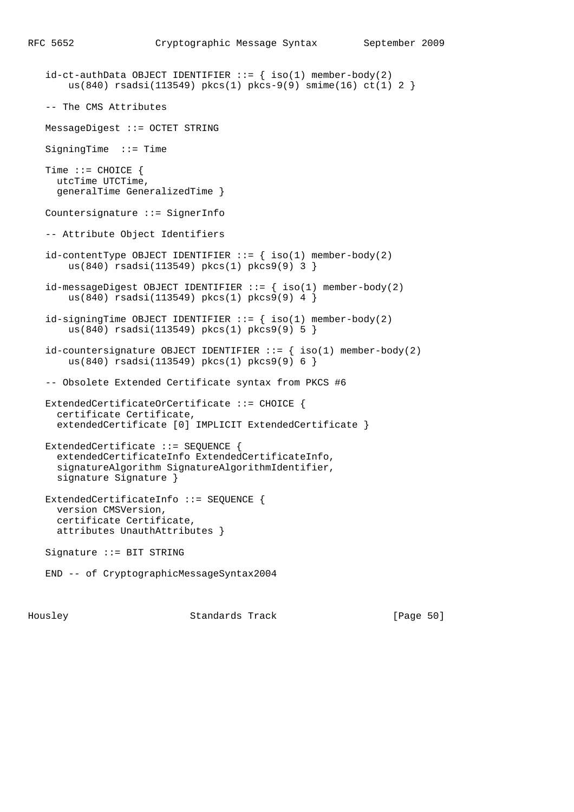```
id-ct-authData OBJECT IDENTIFYER ::= { iso(1) member-body(2) } us(840) rsadsi(113549) pkcs(1) pkcs-9(9) smime(16) ct(1) 2 }
 -- The CMS Attributes
 MessageDigest ::= OCTET STRING
 SigningTime ::= Time
 Time ::= CHOICE {
  utcTime UTCTime,
   generalTime GeneralizedTime }
 Countersignature ::= SignerInfo
 -- Attribute Object Identifiers
id-contentType OBJECT IDENTIFIER ::= { iso(1) member-body(2)
     us(840) rsadsi(113549) pkcs(1) pkcs9(9) 3 }
id-messageDigest OBJECT IDENTIFIER ::= \{ iso(1) member-body(2)
     us(840) rsadsi(113549) pkcs(1) pkcs9(9) 4 }
id\text{-}sigmoid object identifier ::= { iso(1) member-body(2)
     us(840) rsadsi(113549) pkcs(1) pkcs9(9) 5 }
id-countersignature OBJECT IDENTIFIER ::= { iso(1) member-body(2)
     us(840) rsadsi(113549) pkcs(1) pkcs9(9) 6 }
 -- Obsolete Extended Certificate syntax from PKCS #6
 ExtendedCertificateOrCertificate ::= CHOICE {
  certificate Certificate,
   extendedCertificate [0] IMPLICIT ExtendedCertificate }
 ExtendedCertificate ::= SEQUENCE {
  extendedCertificateInfo ExtendedCertificateInfo,
   signatureAlgorithm SignatureAlgorithmIdentifier,
  signature Signature }
 ExtendedCertificateInfo ::= SEQUENCE {
  version CMSVersion,
   certificate Certificate,
   attributes UnauthAttributes }
 Signature ::= BIT STRING
 END -- of CryptographicMessageSyntax2004
```
Housley Standards Track [Page 50]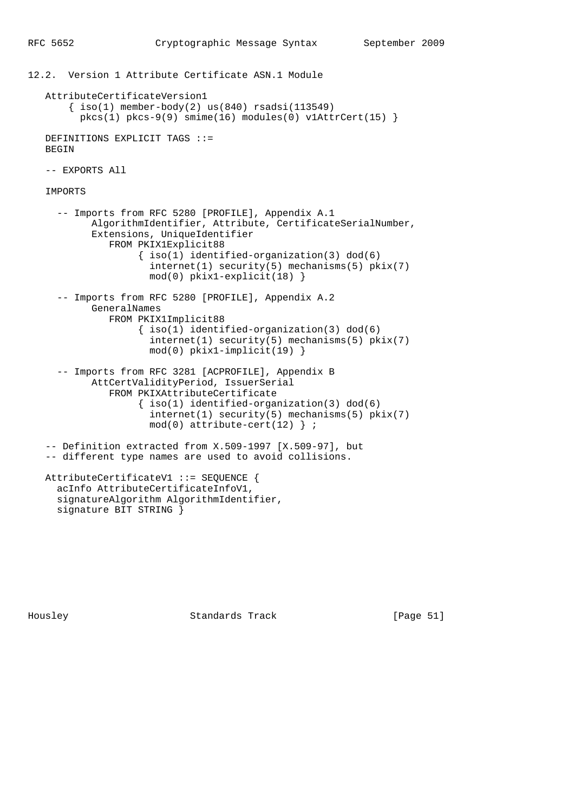12.2. Version 1 Attribute Certificate ASN.1 Module AttributeCertificateVersion1  $\{\text{iso}(1) \text{ member-body}(2) \text{us}(840) \text{ rsadsi}(113549)\}$  $pkcs(1) pkcs-9(9) simine(16) modules(0) v1AttrCert(15)$  DEFINITIONS EXPLICIT TAGS ::= BEGIN -- EXPORTS All IMPORTS -- Imports from RFC 5280 [PROFILE], Appendix A.1 AlgorithmIdentifier, Attribute, CertificateSerialNumber, Extensions, UniqueIdentifier FROM PKIX1Explicit88 { iso(1) identified-organization(3) dod(6) internet(1) security(5) mechanisms(5) pkix(7) mod(0) pkix1-explicit(18) } -- Imports from RFC 5280 [PROFILE], Appendix A.2 GeneralNames FROM PKIX1Implicit88  $\{ iso(1) *identified-organization(3)  $dod(6)$*$  internet(1) security(5) mechanisms(5) pkix(7) mod(0) pkix1-implicit(19) } -- Imports from RFC 3281 [ACPROFILE], Appendix B AttCertValidityPeriod, IssuerSerial FROM PKIXAttributeCertificate  $\{ iso(1) *identified-organization(3)  $dod(6)$*$  internet(1) security(5) mechanisms(5) pkix(7)  $mod(0)$  attribute-cert(12) } ; -- Definition extracted from X.509-1997 [X.509-97], but -- different type names are used to avoid collisions. AttributeCertificateV1 ::= SEQUENCE { acInfo AttributeCertificateInfoV1, signatureAlgorithm AlgorithmIdentifier,

signature BIT STRING }

Housley Standards Track [Page 51]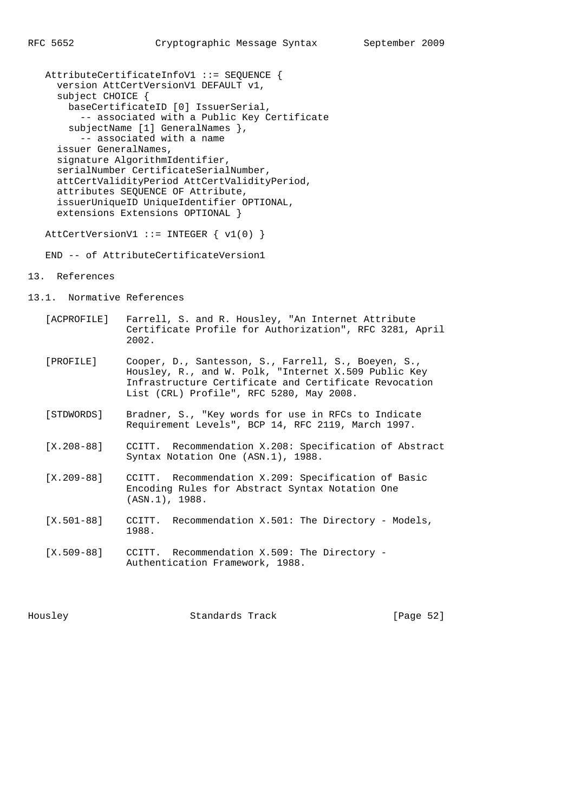AttributeCertificateInfoV1 ::= SEQUENCE { version AttCertVersionV1 DEFAULT v1, subject CHOICE { baseCertificateID [0] IssuerSerial, -- associated with a Public Key Certificate subjectName [1] GeneralNames }, -- associated with a name issuer GeneralNames, signature AlgorithmIdentifier, serialNumber CertificateSerialNumber, attCertValidityPeriod AttCertValidityPeriod, attributes SEQUENCE OF Attribute, issuerUniqueID UniqueIdentifier OPTIONAL, extensions Extensions OPTIONAL }

AttCertVersionV1 ::= INTEGER { v1(0) }

END -- of AttributeCertificateVersion1

- 13. References
- 13.1. Normative References
	- [ACPROFILE] Farrell, S. and R. Housley, "An Internet Attribute Certificate Profile for Authorization", RFC 3281, April 2002.
	- [PROFILE] Cooper, D., Santesson, S., Farrell, S., Boeyen, S., Housley, R., and W. Polk, "Internet X.509 Public Key Infrastructure Certificate and Certificate Revocation List (CRL) Profile", RFC 5280, May 2008.
	- [STDWORDS] Bradner, S., "Key words for use in RFCs to Indicate Requirement Levels", BCP 14, RFC 2119, March 1997.
	- [X.208-88] CCITT. Recommendation X.208: Specification of Abstract Syntax Notation One (ASN.1), 1988.
	- [X.209-88] CCITT. Recommendation X.209: Specification of Basic Encoding Rules for Abstract Syntax Notation One (ASN.1), 1988.
	- [X.501-88] CCITT. Recommendation X.501: The Directory Models, 1988.
	- [X.509-88] CCITT. Recommendation X.509: The Directory Authentication Framework, 1988.

Housley Standards Track [Page 52]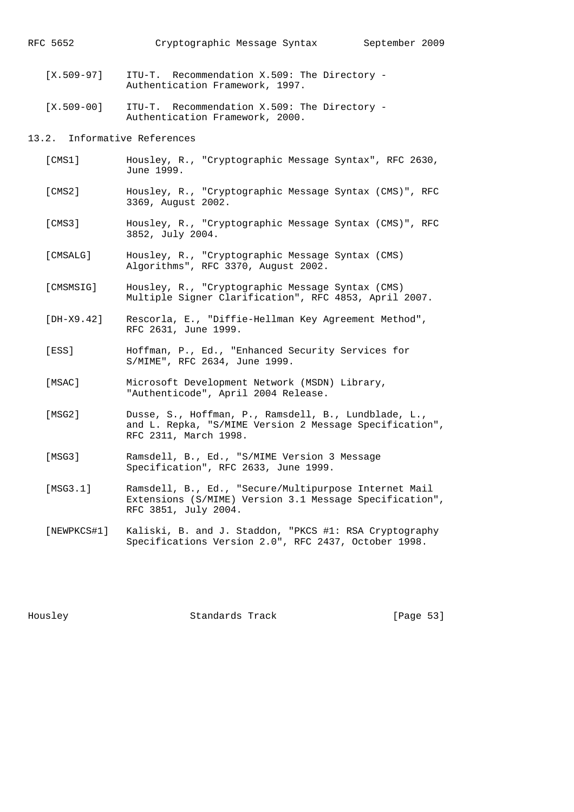[X.509-97] ITU-T. Recommendation X.509: The Directory - Authentication Framework, 1997.

 [X.509-00] ITU-T. Recommendation X.509: The Directory - Authentication Framework, 2000.

13.2. Informative References

- [CMS1] Housley, R., "Cryptographic Message Syntax", RFC 2630, June 1999.
- [CMS2] Housley, R., "Cryptographic Message Syntax (CMS)", RFC 3369, August 2002.
- [CMS3] Housley, R., "Cryptographic Message Syntax (CMS)", RFC 3852, July 2004.
- [CMSALG] Housley, R., "Cryptographic Message Syntax (CMS) Algorithms", RFC 3370, August 2002.
- [CMSMSIG] Housley, R., "Cryptographic Message Syntax (CMS) Multiple Signer Clarification", RFC 4853, April 2007.
- [DH-X9.42] Rescorla, E., "Diffie-Hellman Key Agreement Method", RFC 2631, June 1999.
- [ESS] Hoffman, P., Ed., "Enhanced Security Services for S/MIME", RFC 2634, June 1999.
- [MSAC] Microsoft Development Network (MSDN) Library, "Authenticode", April 2004 Release.
- [MSG2] Dusse, S., Hoffman, P., Ramsdell, B., Lundblade, L., and L. Repka, "S/MIME Version 2 Message Specification", RFC 2311, March 1998.
- [MSG3] Ramsdell, B., Ed., "S/MIME Version 3 Message Specification", RFC 2633, June 1999.
- [MSG3.1] Ramsdell, B., Ed., "Secure/Multipurpose Internet Mail Extensions (S/MIME) Version 3.1 Message Specification", RFC 3851, July 2004.
- [NEWPKCS#1] Kaliski, B. and J. Staddon, "PKCS #1: RSA Cryptography Specifications Version 2.0", RFC 2437, October 1998.

Housley Standards Track [Page 53]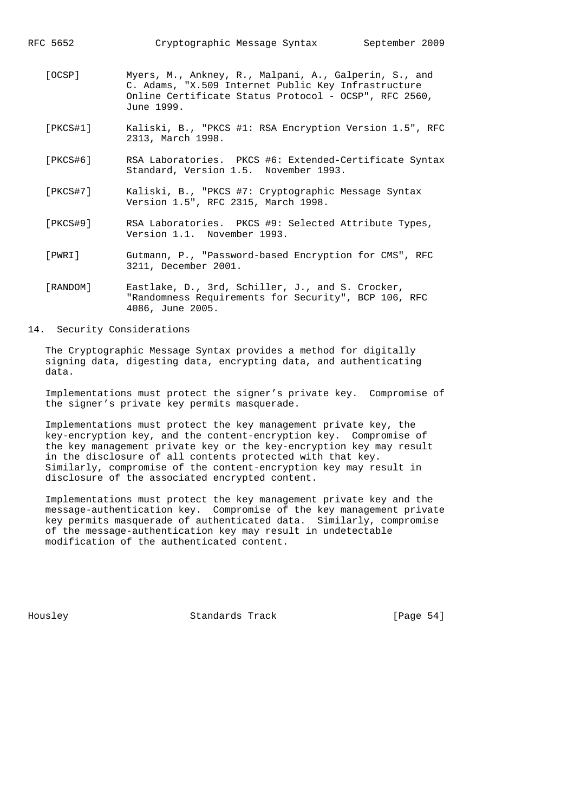RFC 5652 Cryptographic Message Syntax September 2009 [OCSP] Myers, M., Ankney, R., Malpani, A., Galperin, S., and C. Adams, "X.509 Internet Public Key Infrastructure Online Certificate Status Protocol - OCSP", RFC 2560, June 1999. [PKCS#1] Kaliski, B., "PKCS #1: RSA Encryption Version 1.5", RFC 2313, March 1998. [PKCS#6] RSA Laboratories. PKCS #6: Extended-Certificate Syntax Standard, Version 1.5. November 1993. [PKCS#7] Kaliski, B., "PKCS #7: Cryptographic Message Syntax Version 1.5", RFC 2315, March 1998. [PKCS#9] RSA Laboratories. PKCS #9: Selected Attribute Types, Version 1.1. November 1993. [PWRI] Gutmann, P., "Password-based Encryption for CMS", RFC 3211, December 2001. [RANDOM] Eastlake, D., 3rd, Schiller, J., and S. Crocker, "Randomness Requirements for Security", BCP 106, RFC 4086, June 2005.

#### 14. Security Considerations

 The Cryptographic Message Syntax provides a method for digitally signing data, digesting data, encrypting data, and authenticating data.

 Implementations must protect the signer's private key. Compromise of the signer's private key permits masquerade.

 Implementations must protect the key management private key, the key-encryption key, and the content-encryption key. Compromise of the key management private key or the key-encryption key may result in the disclosure of all contents protected with that key. Similarly, compromise of the content-encryption key may result in disclosure of the associated encrypted content.

 Implementations must protect the key management private key and the message-authentication key. Compromise of the key management private key permits masquerade of authenticated data. Similarly, compromise of the message-authentication key may result in undetectable modification of the authenticated content.

Housley Standards Track [Page 54]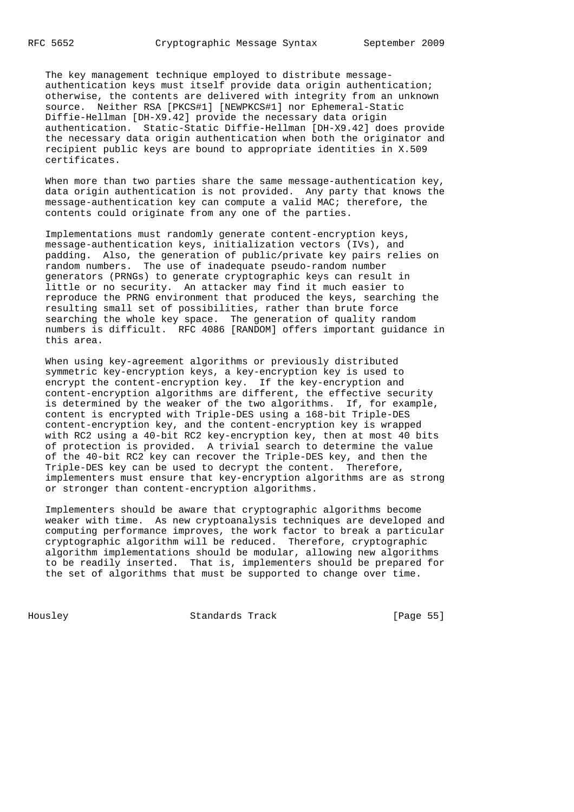The key management technique employed to distribute message authentication keys must itself provide data origin authentication; otherwise, the contents are delivered with integrity from an unknown source. Neither RSA [PKCS#1] [NEWPKCS#1] nor Ephemeral-Static Diffie-Hellman [DH-X9.42] provide the necessary data origin authentication. Static-Static Diffie-Hellman [DH-X9.42] does provide the necessary data origin authentication when both the originator and recipient public keys are bound to appropriate identities in X.509 certificates.

When more than two parties share the same message-authentication key, data origin authentication is not provided. Any party that knows the message-authentication key can compute a valid MAC; therefore, the contents could originate from any one of the parties.

 Implementations must randomly generate content-encryption keys, message-authentication keys, initialization vectors (IVs), and padding. Also, the generation of public/private key pairs relies on random numbers. The use of inadequate pseudo-random number generators (PRNGs) to generate cryptographic keys can result in little or no security. An attacker may find it much easier to reproduce the PRNG environment that produced the keys, searching the resulting small set of possibilities, rather than brute force searching the whole key space. The generation of quality random numbers is difficult. RFC 4086 [RANDOM] offers important guidance in this area.

 When using key-agreement algorithms or previously distributed symmetric key-encryption keys, a key-encryption key is used to encrypt the content-encryption key. If the key-encryption and content-encryption algorithms are different, the effective security is determined by the weaker of the two algorithms. If, for example, content is encrypted with Triple-DES using a 168-bit Triple-DES content-encryption key, and the content-encryption key is wrapped with RC2 using a 40-bit RC2 key-encryption key, then at most 40 bits of protection is provided. A trivial search to determine the value of the 40-bit RC2 key can recover the Triple-DES key, and then the Triple-DES key can be used to decrypt the content. Therefore, implementers must ensure that key-encryption algorithms are as strong or stronger than content-encryption algorithms.

 Implementers should be aware that cryptographic algorithms become weaker with time. As new cryptoanalysis techniques are developed and computing performance improves, the work factor to break a particular cryptographic algorithm will be reduced. Therefore, cryptographic algorithm implementations should be modular, allowing new algorithms to be readily inserted. That is, implementers should be prepared for the set of algorithms that must be supported to change over time.

Housley Standards Track [Page 55]